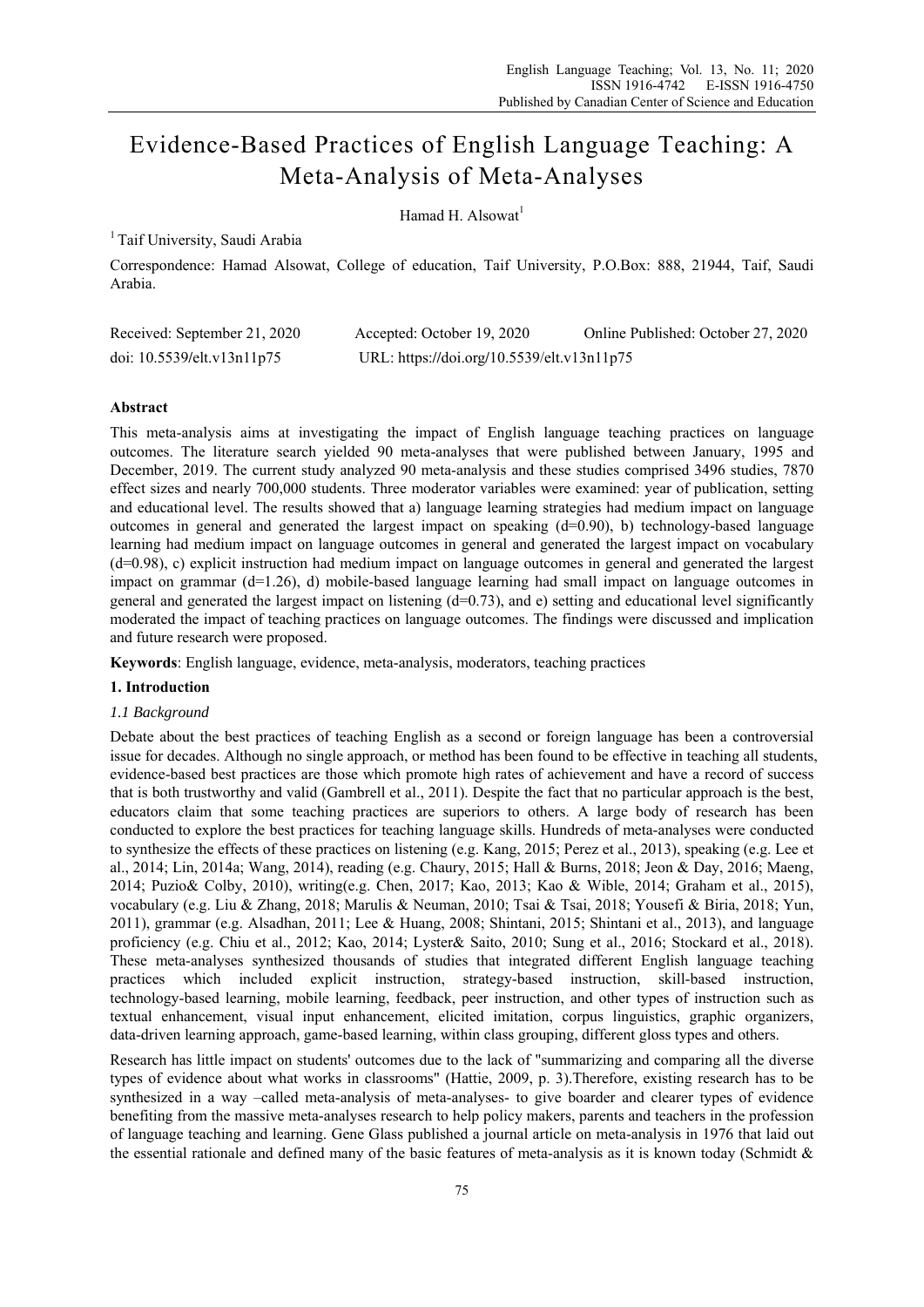# Evidence-Based Practices of English Language Teaching: A Meta-Analysis of Meta-Analyses

Hamad H. Alsowat<sup>1</sup>

# <sup>1</sup> Taif University, Saudi Arabia

Correspondence: Hamad Alsowat, College of education, Taif University, P.O.Box: 888, 21944, Taif, Saudi Arabia.

| Received: September 21, 2020 | Accepted: October 19, 2020                 | Online Published: October 27, 2020 |
|------------------------------|--------------------------------------------|------------------------------------|
| doi: 10.5539/elt.v13n11p75   | URL: https://doi.org/10.5539/elt.v13n11p75 |                                    |

# **Abstract**

This meta-analysis aims at investigating the impact of English language teaching practices on language outcomes. The literature search yielded 90 meta-analyses that were published between January, 1995 and December, 2019. The current study analyzed 90 meta-analysis and these studies comprised 3496 studies, 7870 effect sizes and nearly 700,000 students. Three moderator variables were examined: year of publication, setting and educational level. The results showed that a) language learning strategies had medium impact on language outcomes in general and generated the largest impact on speaking  $(d=0.90)$ , b) technology-based language learning had medium impact on language outcomes in general and generated the largest impact on vocabulary (d=0.98), c) explicit instruction had medium impact on language outcomes in general and generated the largest impact on grammar  $(d=1.26)$ , d) mobile-based language learning had small impact on language outcomes in general and generated the largest impact on listening  $(d=0.73)$ , and e) setting and educational level significantly moderated the impact of teaching practices on language outcomes. The findings were discussed and implication and future research were proposed.

**Keywords**: English language, evidence, meta-analysis, moderators, teaching practices

## **1. Introduction**

## *1.1 Background*

Debate about the best practices of teaching English as a second or foreign language has been a controversial issue for decades. Although no single approach, or method has been found to be effective in teaching all students, evidence-based best practices are those which promote high rates of achievement and have a record of success that is both trustworthy and valid (Gambrell et al., 2011). Despite the fact that no particular approach is the best, educators claim that some teaching practices are superiors to others. A large body of research has been conducted to explore the best practices for teaching language skills. Hundreds of meta-analyses were conducted to synthesize the effects of these practices on listening (e.g. Kang, 2015; Perez et al., 2013), speaking (e.g. Lee et al., 2014; Lin, 2014a; Wang, 2014), reading (e.g. Chaury, 2015; Hall & Burns, 2018; Jeon & Day, 2016; Maeng, 2014; Puzio& Colby, 2010), writing(e.g. Chen, 2017; Kao, 2013; Kao & Wible, 2014; Graham et al., 2015), vocabulary (e.g. Liu & Zhang, 2018; Marulis & Neuman, 2010; Tsai & Tsai, 2018; Yousefi & Biria, 2018; Yun, 2011), grammar (e.g. Alsadhan, 2011; Lee & Huang, 2008; Shintani, 2015; Shintani et al., 2013), and language proficiency (e.g. Chiu et al., 2012; Kao, 2014; Lyster& Saito, 2010; Sung et al., 2016; Stockard et al., 2018). These meta-analyses synthesized thousands of studies that integrated different English language teaching practices which included explicit instruction, strategy-based instruction, skill-based instruction, technology-based learning, mobile learning, feedback, peer instruction, and other types of instruction such as textual enhancement, visual input enhancement, elicited imitation, corpus linguistics, graphic organizers, data-driven learning approach, game-based learning, within class grouping, different gloss types and others.

Research has little impact on students' outcomes due to the lack of "summarizing and comparing all the diverse types of evidence about what works in classrooms" (Hattie, 2009, p. 3).Therefore, existing research has to be synthesized in a way –called meta-analysis of meta-analyses- to give boarder and clearer types of evidence benefiting from the massive meta-analyses research to help policy makers, parents and teachers in the profession of language teaching and learning. Gene Glass published a journal article on meta-analysis in 1976 that laid out the essential rationale and defined many of the basic features of meta-analysis as it is known today (Schmidt &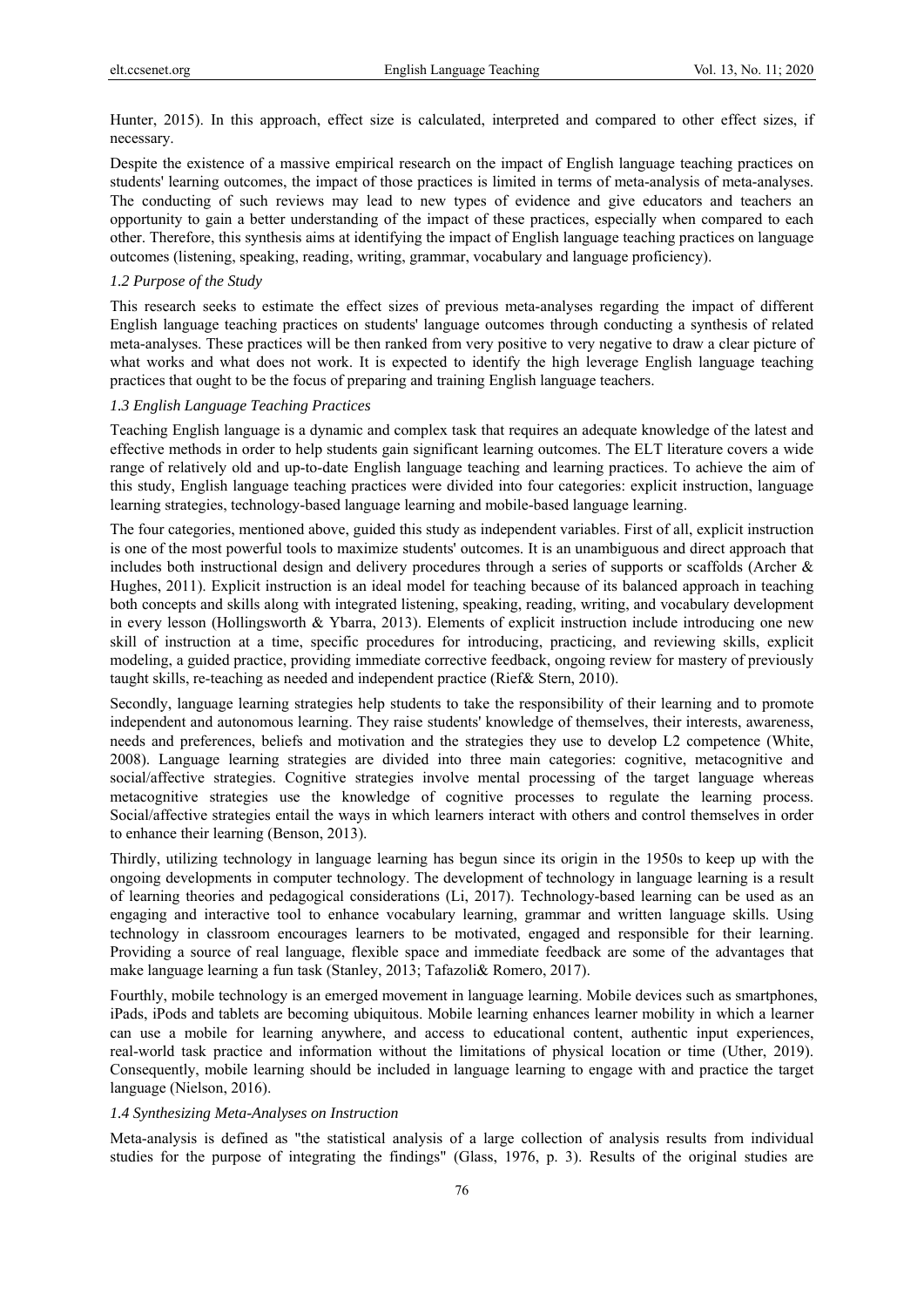Hunter, 2015). In this approach, effect size is calculated, interpreted and compared to other effect sizes, if necessary.

Despite the existence of a massive empirical research on the impact of English language teaching practices on students' learning outcomes, the impact of those practices is limited in terms of meta-analysis of meta-analyses. The conducting of such reviews may lead to new types of evidence and give educators and teachers an opportunity to gain a better understanding of the impact of these practices, especially when compared to each other. Therefore, this synthesis aims at identifying the impact of English language teaching practices on language outcomes (listening, speaking, reading, writing, grammar, vocabulary and language proficiency).

#### *1.2 Purpose of the Study*

This research seeks to estimate the effect sizes of previous meta-analyses regarding the impact of different English language teaching practices on students' language outcomes through conducting a synthesis of related meta-analyses. These practices will be then ranked from very positive to very negative to draw a clear picture of what works and what does not work. It is expected to identify the high leverage English language teaching practices that ought to be the focus of preparing and training English language teachers.

## *1.3 English Language Teaching Practices*

Teaching English language is a dynamic and complex task that requires an adequate knowledge of the latest and effective methods in order to help students gain significant learning outcomes. The ELT literature covers a wide range of relatively old and up-to-date English language teaching and learning practices. To achieve the aim of this study, English language teaching practices were divided into four categories: explicit instruction, language learning strategies, technology-based language learning and mobile-based language learning.

The four categories, mentioned above, guided this study as independent variables. First of all, explicit instruction is one of the most powerful tools to maximize students' outcomes. It is an unambiguous and direct approach that includes both instructional design and delivery procedures through a series of supports or scaffolds (Archer & Hughes, 2011). Explicit instruction is an ideal model for teaching because of its balanced approach in teaching both concepts and skills along with integrated listening, speaking, reading, writing, and vocabulary development in every lesson (Hollingsworth & Ybarra, 2013). Elements of explicit instruction include introducing one new skill of instruction at a time, specific procedures for introducing, practicing, and reviewing skills, explicit modeling, a guided practice, providing immediate corrective feedback, ongoing review for mastery of previously taught skills, re-teaching as needed and independent practice (Rief& Stern, 2010).

Secondly, language learning strategies help students to take the responsibility of their learning and to promote independent and autonomous learning. They raise students' knowledge of themselves, their interests, awareness, needs and preferences, beliefs and motivation and the strategies they use to develop L2 competence (White, 2008). Language learning strategies are divided into three main categories: cognitive, metacognitive and social/affective strategies. Cognitive strategies involve mental processing of the target language whereas metacognitive strategies use the knowledge of cognitive processes to regulate the learning process. Social/affective strategies entail the ways in which learners interact with others and control themselves in order to enhance their learning (Benson, 2013).

Thirdly, utilizing technology in language learning has begun since its origin in the 1950s to keep up with the ongoing developments in computer technology. The development of technology in language learning is a result of learning theories and pedagogical considerations (Li, 2017). Technology-based learning can be used as an engaging and interactive tool to enhance vocabulary learning, grammar and written language skills. Using technology in classroom encourages learners to be motivated, engaged and responsible for their learning. Providing a source of real language, flexible space and immediate feedback are some of the advantages that make language learning a fun task (Stanley, 2013; Tafazoli& Romero, 2017).

Fourthly, mobile technology is an emerged movement in language learning. Mobile devices such as smartphones, iPads, iPods and tablets are becoming ubiquitous. Mobile learning enhances learner mobility in which a learner can use a mobile for learning anywhere, and access to educational content, authentic input experiences, real-world task practice and information without the limitations of physical location or time (Uther, 2019). Consequently, mobile learning should be included in language learning to engage with and practice the target language (Nielson, 2016).

#### *1.4 Synthesizing Meta-Analyses on Instruction*

Meta-analysis is defined as "the statistical analysis of a large collection of analysis results from individual studies for the purpose of integrating the findings" (Glass, 1976, p. 3). Results of the original studies are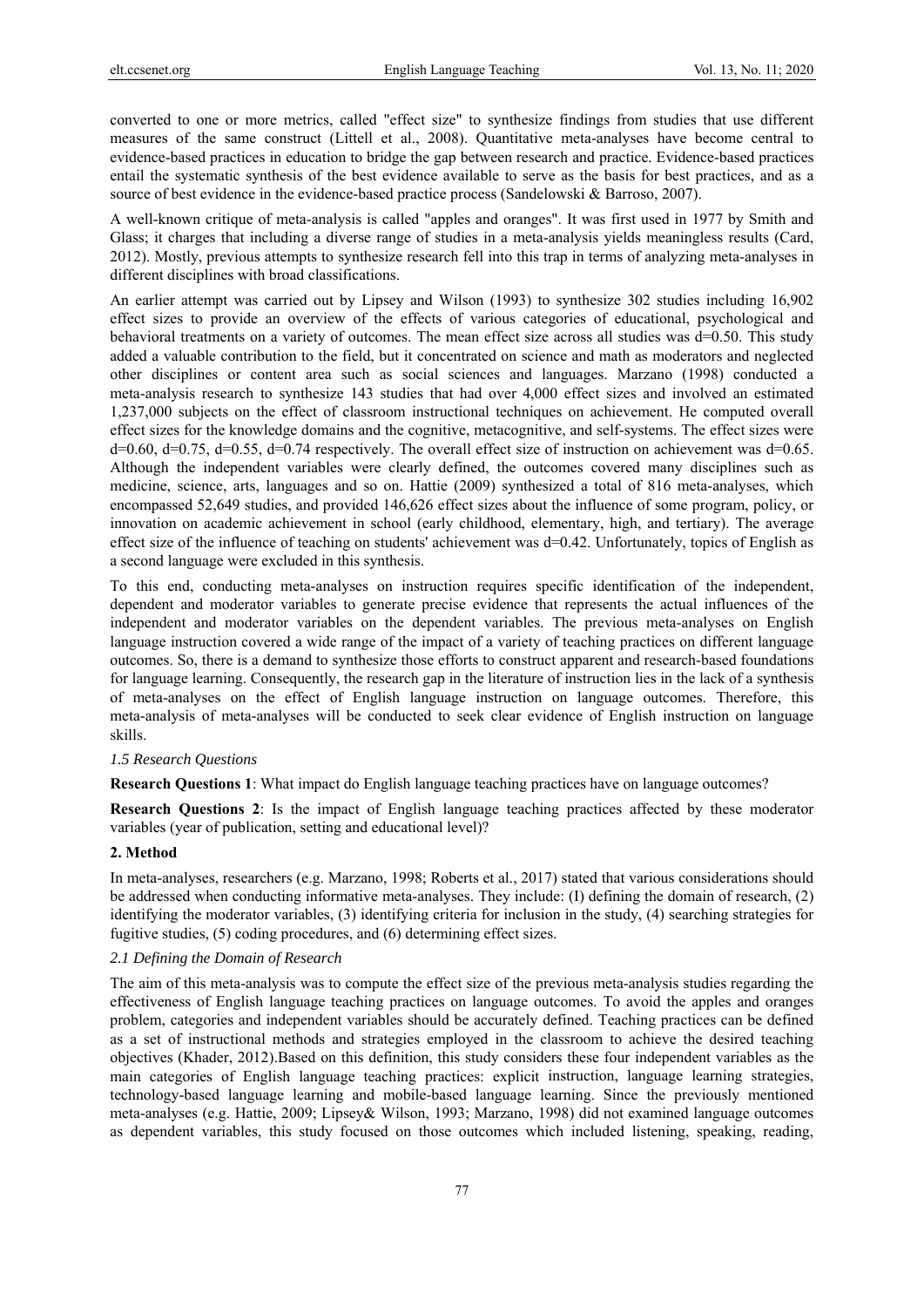converted to one or more metrics, called "effect size" to synthesize findings from studies that use different measures of the same construct (Littell et al., 2008). Quantitative meta-analyses have become central to evidence-based practices in education to bridge the gap between research and practice. Evidence-based practices entail the systematic synthesis of the best evidence available to serve as the basis for best practices, and as a source of best evidence in the evidence-based practice process (Sandelowski & Barroso, 2007).

A well-known critique of meta-analysis is called "apples and oranges". It was first used in 1977 by Smith and Glass; it charges that including a diverse range of studies in a meta-analysis yields meaningless results (Card, 2012). Mostly, previous attempts to synthesize research fell into this trap in terms of analyzing meta-analyses in different disciplines with broad classifications.

An earlier attempt was carried out by Lipsey and Wilson (1993) to synthesize 302 studies including 16,902 effect sizes to provide an overview of the effects of various categories of educational, psychological and behavioral treatments on a variety of outcomes. The mean effect size across all studies was d=0.50. This study added a valuable contribution to the field, but it concentrated on science and math as moderators and neglected other disciplines or content area such as social sciences and languages. Marzano (1998) conducted a meta-analysis research to synthesize 143 studies that had over 4,000 effect sizes and involved an estimated 1,237,000 subjects on the effect of classroom instructional techniques on achievement. He computed overall effect sizes for the knowledge domains and the cognitive, metacognitive, and self-systems. The effect sizes were d=0.60, d=0.75, d=0.55, d=0.74 respectively. The overall effect size of instruction on achievement was d=0.65. Although the independent variables were clearly defined, the outcomes covered many disciplines such as medicine, science, arts, languages and so on. Hattie (2009) synthesized a total of 816 meta-analyses, which encompassed 52,649 studies, and provided 146,626 effect sizes about the influence of some program, policy, or innovation on academic achievement in school (early childhood, elementary, high, and tertiary). The average effect size of the influence of teaching on students' achievement was d=0.42. Unfortunately, topics of English as a second language were excluded in this synthesis.

To this end, conducting meta-analyses on instruction requires specific identification of the independent, dependent and moderator variables to generate precise evidence that represents the actual influences of the independent and moderator variables on the dependent variables. The previous meta-analyses on English language instruction covered a wide range of the impact of a variety of teaching practices on different language outcomes. So, there is a demand to synthesize those efforts to construct apparent and research-based foundations for language learning. Consequently, the research gap in the literature of instruction lies in the lack of a synthesis of meta-analyses on the effect of English language instruction on language outcomes. Therefore, this meta-analysis of meta-analyses will be conducted to seek clear evidence of English instruction on language skills.

#### *1.5 Research Questions*

**Research Questions 1**: What impact do English language teaching practices have on language outcomes?

**Research Questions 2**: Is the impact of English language teaching practices affected by these moderator variables (year of publication, setting and educational level)?

#### **2. Method**

In meta-analyses, researchers (e.g. Marzano, 1998; Roberts et al., 2017) stated that various considerations should be addressed when conducting informative meta-analyses. They include: (I) defining the domain of research, (2) identifying the moderator variables, (3) identifying criteria for inclusion in the study, (4) searching strategies for fugitive studies, (5) coding procedures, and (6) determining effect sizes.

# *2.1 Defining the Domain of Research*

The aim of this meta-analysis was to compute the effect size of the previous meta-analysis studies regarding the effectiveness of English language teaching practices on language outcomes. To avoid the apples and oranges problem, categories and independent variables should be accurately defined. Teaching practices can be defined as a set of instructional methods and strategies employed in the classroom to achieve the desired teaching objectives (Khader, 2012).Based on this definition, this study considers these four independent variables as the main categories of English language teaching practices: explicit instruction, language learning strategies, technology-based language learning and mobile-based language learning. Since the previously mentioned meta-analyses (e.g. Hattie, 2009; Lipsey& Wilson, 1993; Marzano, 1998) did not examined language outcomes as dependent variables, this study focused on those outcomes which included listening, speaking, reading,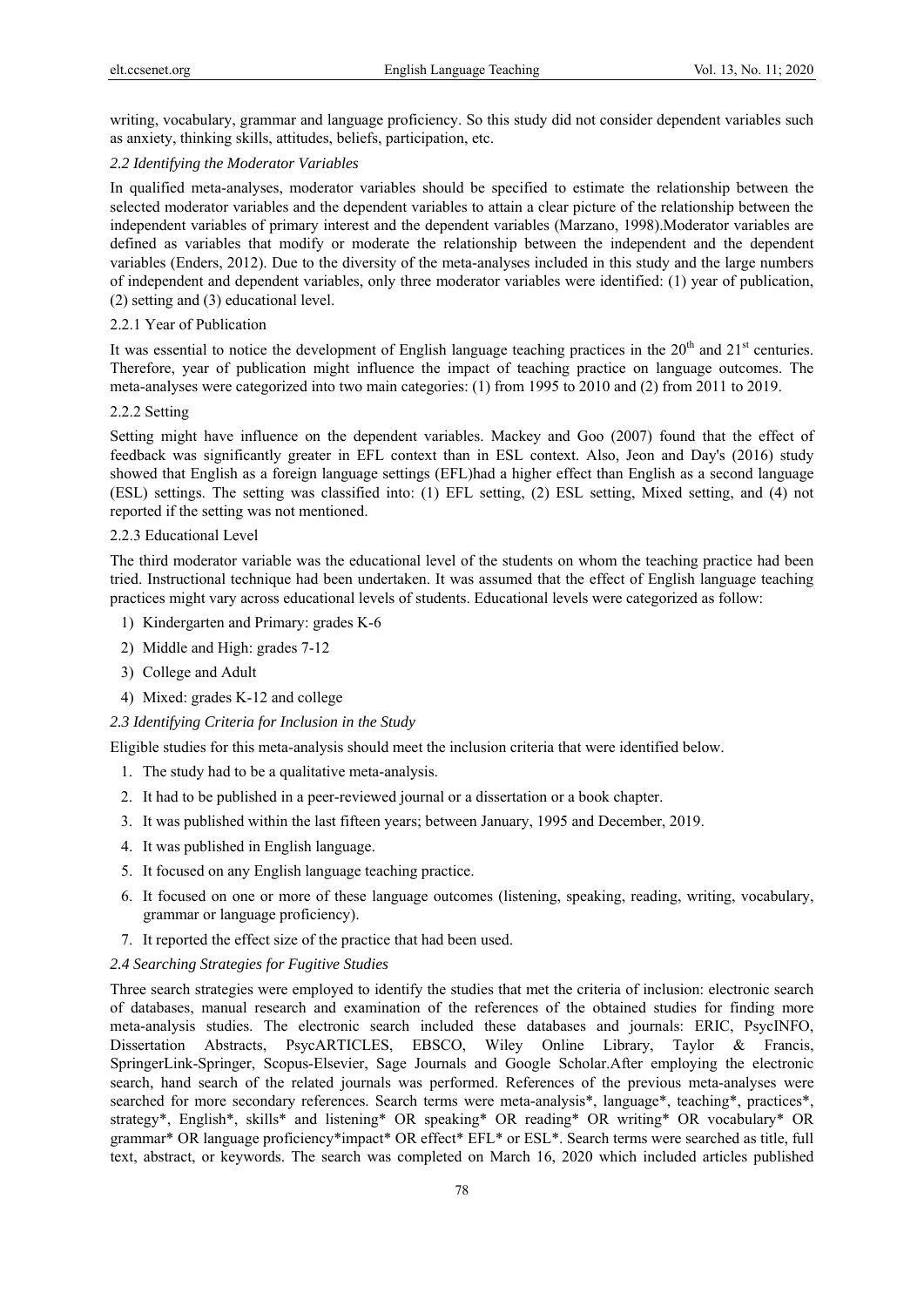writing, vocabulary, grammar and language proficiency. So this study did not consider dependent variables such as anxiety, thinking skills, attitudes, beliefs, participation, etc.

## *2.2 Identifying the Moderator Variables*

In qualified meta-analyses, moderator variables should be specified to estimate the relationship between the selected moderator variables and the dependent variables to attain a clear picture of the relationship between the independent variables of primary interest and the dependent variables (Marzano, 1998).Moderator variables are defined as variables that modify or moderate the relationship between the independent and the dependent variables (Enders, 2012). Due to the diversity of the meta-analyses included in this study and the large numbers of independent and dependent variables, only three moderator variables were identified: (1) year of publication, (2) setting and (3) educational level.

# 2.2.1 Year of Publication

It was essential to notice the development of English language teaching practices in the  $20<sup>th</sup>$  and  $21<sup>st</sup>$  centuries. Therefore, year of publication might influence the impact of teaching practice on language outcomes. The meta-analyses were categorized into two main categories: (1) from 1995 to 2010 and (2) from 2011 to 2019.

## 2.2.2 Setting

Setting might have influence on the dependent variables. Mackey and Goo (2007) found that the effect of feedback was significantly greater in EFL context than in ESL context. Also, Jeon and Day's (2016) study showed that English as a foreign language settings (EFL)had a higher effect than English as a second language (ESL) settings. The setting was classified into: (1) EFL setting, (2) ESL setting, Mixed setting, and (4) not reported if the setting was not mentioned.

## 2.2.3 Educational Level

The third moderator variable was the educational level of the students on whom the teaching practice had been tried. Instructional technique had been undertaken. It was assumed that the effect of English language teaching practices might vary across educational levels of students. Educational levels were categorized as follow:

- 1) Kindergarten and Primary: grades K-6
- 2) Middle and High: grades 7-12
- 3) College and Adult
- 4) Mixed: grades K-12 and college

## *2.3 Identifying Criteria for Inclusion in the Study*

Eligible studies for this meta-analysis should meet the inclusion criteria that were identified below.

- 1. The study had to be a qualitative meta-analysis.
- 2. It had to be published in a peer-reviewed journal or a dissertation or a book chapter.
- 3. It was published within the last fifteen years; between January, 1995 and December, 2019.
- 4. It was published in English language.
- 5. It focused on any English language teaching practice.
- 6. It focused on one or more of these language outcomes (listening, speaking, reading, writing, vocabulary, grammar or language proficiency).
- 7. It reported the effect size of the practice that had been used.

# *2.4 Searching Strategies for Fugitive Studies*

Three search strategies were employed to identify the studies that met the criteria of inclusion: electronic search of databases, manual research and examination of the references of the obtained studies for finding more meta-analysis studies. The electronic search included these databases and journals: ERIC, PsycINFO, Dissertation Abstracts, PsycARTICLES, EBSCO, Wiley Online Library, Taylor & Francis, SpringerLink-Springer, Scopus-Elsevier, Sage Journals and Google Scholar.After employing the electronic search, hand search of the related journals was performed. References of the previous meta-analyses were searched for more secondary references. Search terms were meta-analysis\*, language\*, teaching\*, practices\*, strategy\*, English\*, skills\* and listening\* OR speaking\* OR reading\* OR writing\* OR vocabulary\* OR grammar\* OR language proficiency\*impact\* OR effect\* EFL\* or ESL\*. Search terms were searched as title, full text, abstract, or keywords. The search was completed on March 16, 2020 which included articles published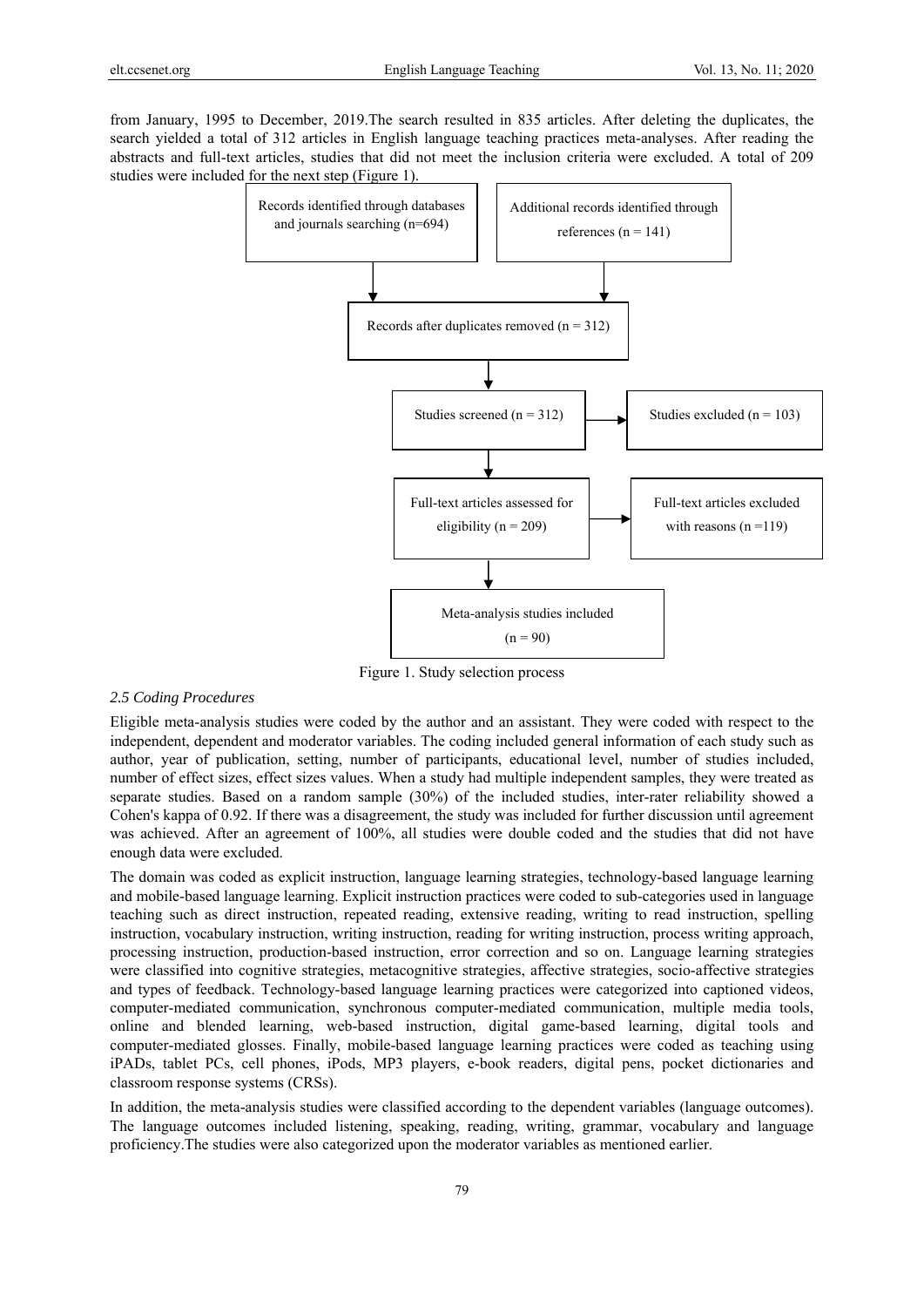from January, 1995 to December, 2019.The search resulted in 835 articles. After deleting the duplicates, the search yielded a total of 312 articles in English language teaching practices meta-analyses. After reading the abstracts and full-text articles, studies that did not meet the inclusion criteria were excluded. A total of 209 studies were included for the next step (Figure 1).



Figure 1. Study selection process

#### *2.5 Coding Procedures*

Eligible meta-analysis studies were coded by the author and an assistant. They were coded with respect to the independent, dependent and moderator variables. The coding included general information of each study such as author, year of publication, setting, number of participants, educational level, number of studies included, number of effect sizes, effect sizes values. When a study had multiple independent samples, they were treated as separate studies. Based on a random sample (30%) of the included studies, inter-rater reliability showed a Cohen's kappa of 0.92. If there was a disagreement, the study was included for further discussion until agreement was achieved. After an agreement of 100%, all studies were double coded and the studies that did not have enough data were excluded.

The domain was coded as explicit instruction, language learning strategies, technology-based language learning and mobile-based language learning. Explicit instruction practices were coded to sub-categories used in language teaching such as direct instruction, repeated reading, extensive reading, writing to read instruction, spelling instruction, vocabulary instruction, writing instruction, reading for writing instruction, process writing approach, processing instruction, production-based instruction, error correction and so on. Language learning strategies were classified into cognitive strategies, metacognitive strategies, affective strategies, socio-affective strategies and types of feedback. Technology-based language learning practices were categorized into captioned videos, computer-mediated communication, synchronous computer-mediated communication, multiple media tools, online and blended learning, web-based instruction, digital game-based learning, digital tools and computer-mediated glosses. Finally, mobile-based language learning practices were coded as teaching using iPADs, tablet PCs, cell phones, iPods, MP3 players, e-book readers, digital pens, pocket dictionaries and classroom response systems (CRSs).

In addition, the meta-analysis studies were classified according to the dependent variables (language outcomes). The language outcomes included listening, speaking, reading, writing, grammar, vocabulary and language proficiency.The studies were also categorized upon the moderator variables as mentioned earlier.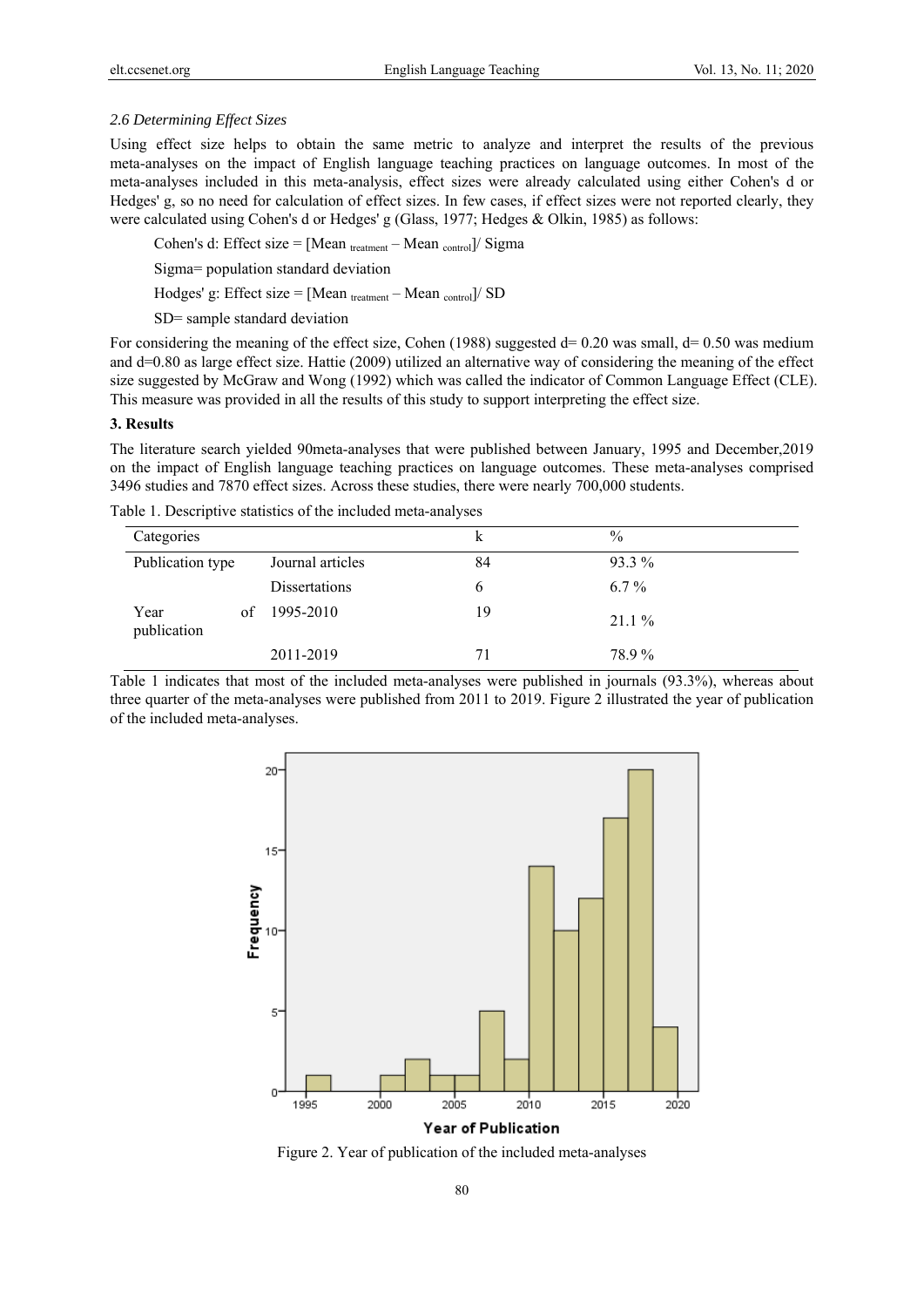## *2.6 Determining Effect Sizes*

Using effect size helps to obtain the same metric to analyze and interpret the results of the previous meta-analyses on the impact of English language teaching practices on language outcomes. In most of the meta-analyses included in this meta-analysis, effect sizes were already calculated using either Cohen's d or Hedges' g, so no need for calculation of effect sizes. In few cases, if effect sizes were not reported clearly, they were calculated using Cohen's d or Hedges' g (Glass, 1977; Hedges & Olkin, 1985) as follows:

Cohen's d: Effect size = [Mean  $_{treatment}$  – Mean  $_{control}$ ]/ Sigma

Sigma= population standard deviation

Hodges' g: Effect size = [Mean treatment – Mean control]/ SD

SD= sample standard deviation

For considering the meaning of the effect size, Cohen (1988) suggested  $d= 0.20$  was small,  $d= 0.50$  was medium and d=0.80 as large effect size. Hattie (2009) utilized an alternative way of considering the meaning of the effect size suggested by McGraw and Wong (1992) which was called the indicator of Common Language Effect (CLE). This measure was provided in all the results of this study to support interpreting the effect size.

#### **3. Results**

The literature search yielded 90meta-analyses that were published between January, 1995 and December,2019 on the impact of English language teaching practices on language outcomes. These meta-analyses comprised 3496 studies and 7870 effect sizes. Across these studies, there were nearly 700,000 students.

Table 1. Descriptive statistics of the included meta-analyses

| Categories          |                  | k  | $\frac{0}{0}$ |
|---------------------|------------------|----|---------------|
| Publication type    | Journal articles | 84 | 93.3 %        |
|                     | Dissertations    | b  | $6.7\%$       |
| Year<br>publication | of $1995-2010$   | 19 | $21.1\%$      |
|                     | 2011-2019        | 71 | 78.9%         |

Table 1 indicates that most of the included meta-analyses were published in journals (93.3%), whereas about three quarter of the meta-analyses were published from 2011 to 2019. Figure 2 illustrated the year of publication of the included meta-analyses.



Figure 2. Year of publication of the included meta-analyses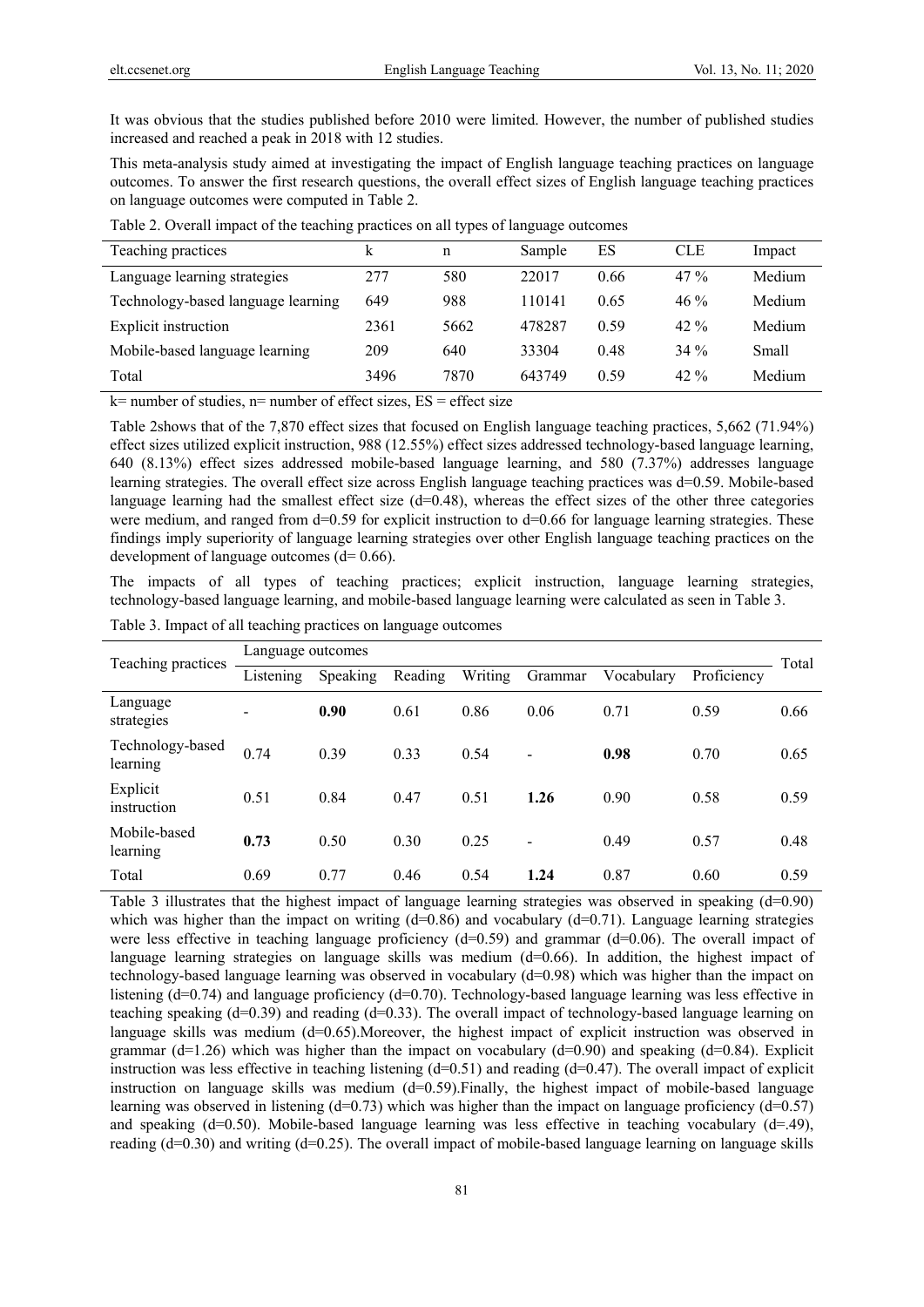It was obvious that the studies published before 2010 were limited. However, the number of published studies increased and reached a peak in 2018 with 12 studies.

This meta-analysis study aimed at investigating the impact of English language teaching practices on language outcomes. To answer the first research questions, the overall effect sizes of English language teaching practices on language outcomes were computed in Table 2.

| Teaching practices                 |      | n    | Sample | ES   | <b>CLE</b> | Impact |
|------------------------------------|------|------|--------|------|------------|--------|
| Language learning strategies       | 277  | 580  | 22017  | 0.66 | $47\%$     | Medium |
| Technology-based language learning | 649  | 988  | 110141 | 0.65 | $46\%$     | Medium |
| Explicit instruction               | 2361 | 5662 | 478287 | 0.59 | $42. \%$   | Medium |
| Mobile-based language learning     | 209  | 640  | 33304  | 0.48 | $34\%$     | Small  |
| Total                              | 3496 | 7870 | 643749 | 0.59 | $42. \%$   | Medium |
|                                    |      |      |        |      |            |        |

Table 2. Overall impact of the teaching practices on all types of language outcomes

 $k$ = number of studies, n= number of effect sizes,  $ES$  = effect size

Table 2shows that of the 7,870 effect sizes that focused on English language teaching practices, 5,662 (71.94%) effect sizes utilized explicit instruction, 988 (12.55%) effect sizes addressed technology-based language learning, 640 (8.13%) effect sizes addressed mobile-based language learning, and 580 (7.37%) addresses language learning strategies. The overall effect size across English language teaching practices was d=0.59. Mobile-based language learning had the smallest effect size  $(d=0.48)$ , whereas the effect sizes of the other three categories were medium, and ranged from d=0.59 for explicit instruction to d=0.66 for language learning strategies. These findings imply superiority of language learning strategies over other English language teaching practices on the development of language outcomes  $(d= 0.66)$ .

The impacts of all types of teaching practices; explicit instruction, language learning strategies, technology-based language learning, and mobile-based language learning were calculated as seen in Table 3.

| Teaching practices           | Language outcomes        |          |         |         |                          |            |             |       |
|------------------------------|--------------------------|----------|---------|---------|--------------------------|------------|-------------|-------|
|                              | Listening                | Speaking | Reading | Writing | Grammar                  | Vocabulary | Proficiency | Total |
| Language<br>strategies       | $\overline{\phantom{a}}$ | 0.90     | 0.61    | 0.86    | 0.06                     | 0.71       | 0.59        | 0.66  |
| Technology-based<br>learning | 0.74                     | 0.39     | 0.33    | 0.54    | $\overline{\phantom{a}}$ | 0.98       | 0.70        | 0.65  |
| Explicit<br>instruction      | 0.51                     | 0.84     | 0.47    | 0.51    | 1.26                     | 0.90       | 0.58        | 0.59  |
| Mobile-based<br>learning     | 0.73                     | 0.50     | 0.30    | 0.25    | ۰                        | 0.49       | 0.57        | 0.48  |
| Total                        | 0.69                     | 0.77     | 0.46    | 0.54    | 1.24                     | 0.87       | 0.60        | 0.59  |

Table 3. Impact of all teaching practices on language outcomes

Table 3 illustrates that the highest impact of language learning strategies was observed in speaking (d=0.90) which was higher than the impact on writing (d=0.86) and vocabulary (d=0.71). Language learning strategies were less effective in teaching language proficiency (d=0.59) and grammar (d=0.06). The overall impact of language learning strategies on language skills was medium (d=0.66). In addition, the highest impact of technology-based language learning was observed in vocabulary (d=0.98) which was higher than the impact on listening (d=0.74) and language proficiency (d=0.70). Technology-based language learning was less effective in teaching speaking (d=0.39) and reading (d=0.33). The overall impact of technology-based language learning on language skills was medium  $(d=0.65)$ . Moreover, the highest impact of explicit instruction was observed in grammar (d=1.26) which was higher than the impact on vocabulary (d=0.90) and speaking (d=0.84). Explicit instruction was less effective in teaching listening  $(d=0.51)$  and reading  $(d=0.47)$ . The overall impact of explicit instruction on language skills was medium  $(d=0.59)$ . Finally, the highest impact of mobile-based language learning was observed in listening  $(d=0.73)$  which was higher than the impact on language proficiency  $(d=0.57)$ and speaking (d=0.50). Mobile-based language learning was less effective in teaching vocabulary (d=.49), reading (d=0.30) and writing (d=0.25). The overall impact of mobile-based language learning on language skills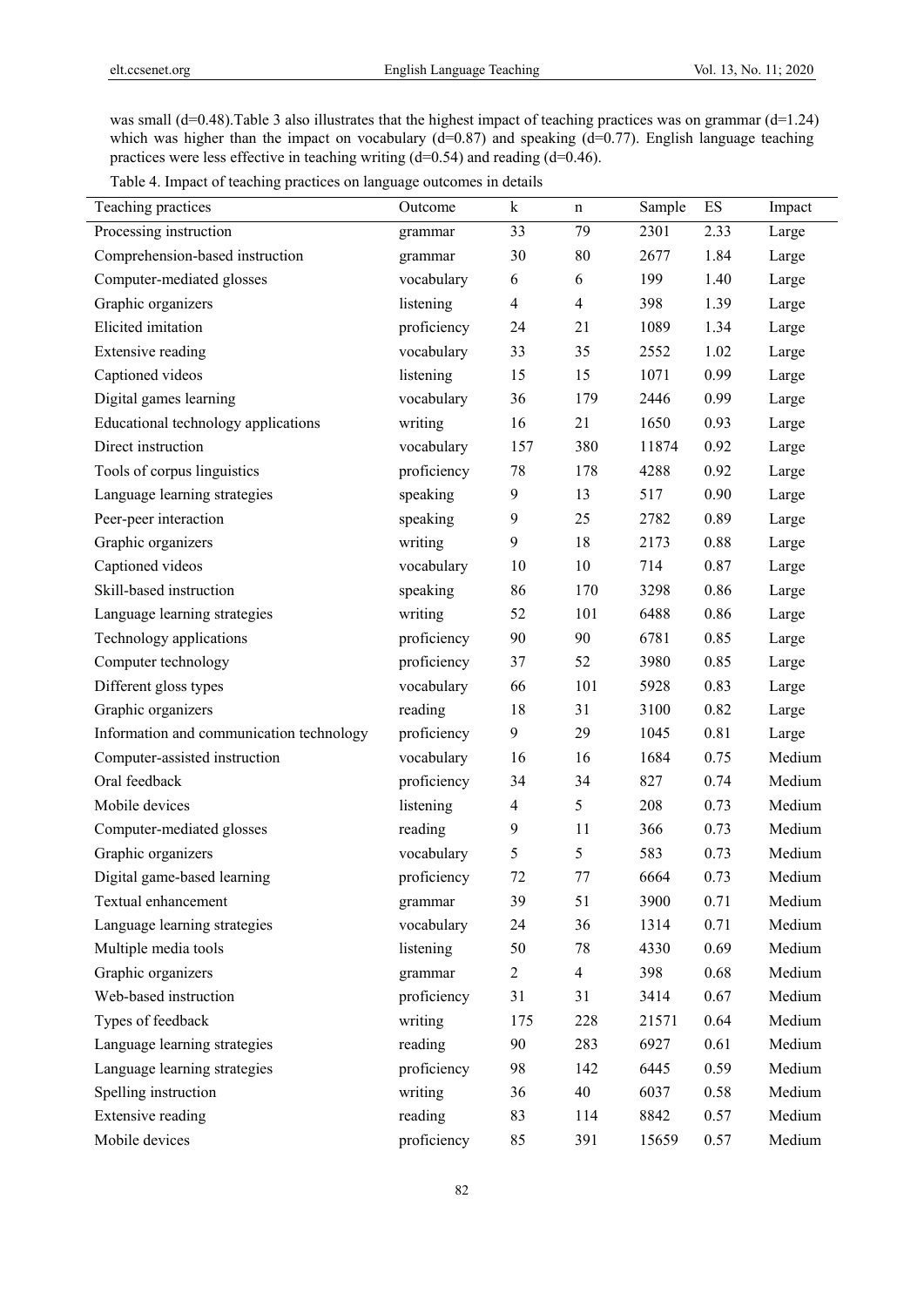was small (d=0.48). Table 3 also illustrates that the highest impact of teaching practices was on grammar (d=1.24) which was higher than the impact on vocabulary  $(d=0.87)$  and speaking  $(d=0.77)$ . English language teaching practices were less effective in teaching writing (d=0.54) and reading (d=0.46).

Table 4. Impact of teaching practices on language outcomes in details

| Teaching practices                       | Outcome     | $\bf k$        | n              | Sample | ES   | Impact |
|------------------------------------------|-------------|----------------|----------------|--------|------|--------|
| Processing instruction                   | grammar     | 33             | 79             | 2301   | 2.33 | Large  |
| Comprehension-based instruction          | grammar     | 30             | 80             | 2677   | 1.84 | Large  |
| Computer-mediated glosses                | vocabulary  | 6              | 6              | 199    | 1.40 | Large  |
| Graphic organizers                       | listening   | 4              | $\overline{4}$ | 398    | 1.39 | Large  |
| Elicited imitation                       | proficiency | 24             | 21             | 1089   | 1.34 | Large  |
| <b>Extensive reading</b>                 | vocabulary  | 33             | 35             | 2552   | 1.02 | Large  |
| Captioned videos                         | listening   | 15             | 15             | 1071   | 0.99 | Large  |
| Digital games learning                   | vocabulary  | 36             | 179            | 2446   | 0.99 | Large  |
| Educational technology applications      | writing     | 16             | 21             | 1650   | 0.93 | Large  |
| Direct instruction                       | vocabulary  | 157            | 380            | 11874  | 0.92 | Large  |
| Tools of corpus linguistics              | proficiency | 78             | 178            | 4288   | 0.92 | Large  |
| Language learning strategies             | speaking    | 9              | 13             | 517    | 0.90 | Large  |
| Peer-peer interaction                    | speaking    | 9              | 25             | 2782   | 0.89 | Large  |
| Graphic organizers                       | writing     | 9              | 18             | 2173   | 0.88 | Large  |
| Captioned videos                         | vocabulary  | 10             | 10             | 714    | 0.87 | Large  |
| Skill-based instruction                  | speaking    | 86             | 170            | 3298   | 0.86 | Large  |
| Language learning strategies             | writing     | 52             | 101            | 6488   | 0.86 | Large  |
| Technology applications                  | proficiency | 90             | 90             | 6781   | 0.85 | Large  |
| Computer technology                      | proficiency | 37             | 52             | 3980   | 0.85 | Large  |
| Different gloss types                    | vocabulary  | 66             | 101            | 5928   | 0.83 | Large  |
| Graphic organizers                       | reading     | 18             | 31             | 3100   | 0.82 | Large  |
| Information and communication technology | proficiency | 9              | 29             | 1045   | 0.81 | Large  |
| Computer-assisted instruction            | vocabulary  | 16             | 16             | 1684   | 0.75 | Medium |
| Oral feedback                            | proficiency | 34             | 34             | 827    | 0.74 | Medium |
| Mobile devices                           | listening   | 4              | 5              | 208    | 0.73 | Medium |
| Computer-mediated glosses                | reading     | 9              | 11             | 366    | 0.73 | Medium |
| Graphic organizers                       | vocabulary  | 5              | 5              | 583    | 0.73 | Medium |
| Digital game-based learning              | proficiency | 72             | 77             | 6664   | 0.73 | Medium |
| Textual enhancement                      | grammar     | 39             | 51             | 3900   | 0.71 | Medium |
| Language learning strategies             | vocabulary  | 24             | 36             | 1314   | 0.71 | Medium |
| Multiple media tools                     | listening   | 50             | 78             | 4330   | 0.69 | Medium |
| Graphic organizers                       | grammar     | $\overline{c}$ | $\overline{4}$ | 398    | 0.68 | Medium |
| Web-based instruction                    | proficiency | 31             | 31             | 3414   | 0.67 | Medium |
| Types of feedback                        | writing     | 175            | 228            | 21571  | 0.64 | Medium |
| Language learning strategies             | reading     | 90             | 283            | 6927   | 0.61 | Medium |
| Language learning strategies             | proficiency | 98             | 142            | 6445   | 0.59 | Medium |
| Spelling instruction                     | writing     | 36             | 40             | 6037   | 0.58 | Medium |
| Extensive reading                        | reading     | 83             | 114            | 8842   | 0.57 | Medium |
| Mobile devices                           | proficiency | 85             | 391            | 15659  | 0.57 | Medium |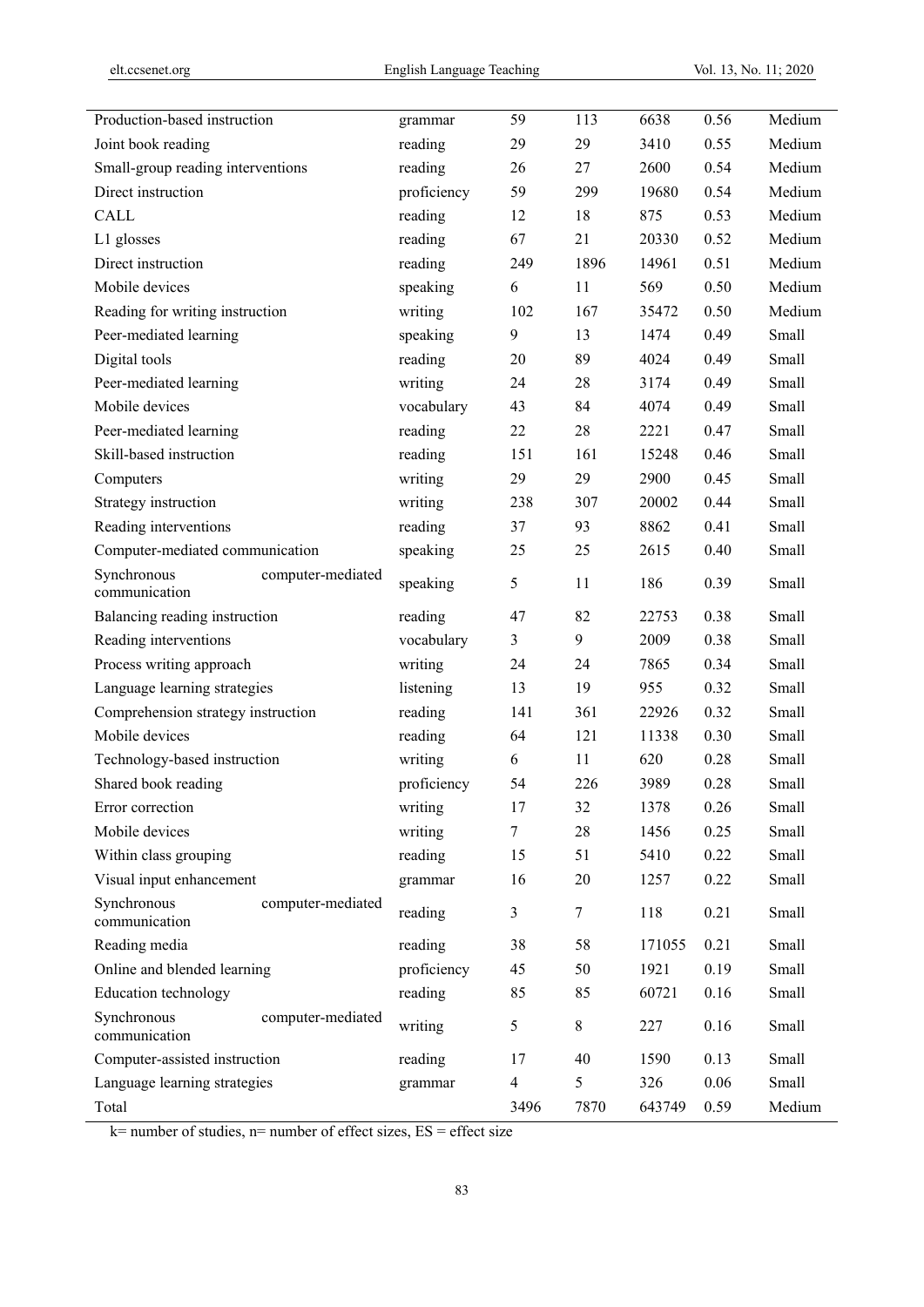| Production-based instruction       |                   | grammar     | 59                      | 113    | 6638   | 0.56 | Medium |
|------------------------------------|-------------------|-------------|-------------------------|--------|--------|------|--------|
| Joint book reading                 |                   | reading     | 29                      | 29     | 3410   | 0.55 | Medium |
| Small-group reading interventions  |                   | reading     | 26                      | 27     | 2600   | 0.54 | Medium |
| Direct instruction                 |                   | proficiency | 59                      | 299    | 19680  | 0.54 | Medium |
| <b>CALL</b>                        |                   | reading     | 12                      | 18     | 875    | 0.53 | Medium |
| L1 glosses                         |                   | reading     | 67                      | 21     | 20330  | 0.52 | Medium |
| Direct instruction                 |                   | reading     | 249                     | 1896   | 14961  | 0.51 | Medium |
| Mobile devices                     |                   | speaking    | 6                       | 11     | 569    | 0.50 | Medium |
| Reading for writing instruction    |                   | writing     | 102                     | 167    | 35472  | 0.50 | Medium |
| Peer-mediated learning             |                   | speaking    | 9                       | 13     | 1474   | 0.49 | Small  |
| Digital tools                      |                   | reading     | 20                      | 89     | 4024   | 0.49 | Small  |
| Peer-mediated learning             |                   | writing     | 24                      | 28     | 3174   | 0.49 | Small  |
| Mobile devices                     |                   | vocabulary  | 43                      | 84     | 4074   | 0.49 | Small  |
| Peer-mediated learning             |                   | reading     | 22                      | 28     | 2221   | 0.47 | Small  |
| Skill-based instruction            |                   | reading     | 151                     | 161    | 15248  | 0.46 | Small  |
| Computers                          |                   | writing     | 29                      | 29     | 2900   | 0.45 | Small  |
| Strategy instruction               |                   | writing     | 238                     | 307    | 20002  | 0.44 | Small  |
| Reading interventions              |                   | reading     | 37                      | 93     | 8862   | 0.41 | Small  |
| Computer-mediated communication    |                   | speaking    | 25                      | 25     | 2615   | 0.40 | Small  |
| Synchronous<br>communication       | computer-mediated | speaking    | 5                       | 11     | 186    | 0.39 | Small  |
| Balancing reading instruction      |                   | reading     | 47                      | 82     | 22753  | 0.38 | Small  |
| Reading interventions              |                   | vocabulary  | 3                       | 9      | 2009   | 0.38 | Small  |
| Process writing approach           |                   | writing     | 24                      | 24     | 7865   | 0.34 | Small  |
| Language learning strategies       |                   | listening   | 13                      | 19     | 955    | 0.32 | Small  |
| Comprehension strategy instruction |                   | reading     | 141                     | 361    | 22926  | 0.32 | Small  |
| Mobile devices                     |                   | reading     | 64                      | 121    | 11338  | 0.30 | Small  |
| Technology-based instruction       |                   | writing     | 6                       | 11     | 620    | 0.28 | Small  |
| Shared book reading                |                   | proficiency | 54                      | 226    | 3989   | 0.28 | Small  |
| Error correction                   |                   | writing     | 17                      | 32     | 1378   | 0.26 | Small  |
| Mobile devices                     |                   | writing     | 7                       | 28     | 1456   | 0.25 | Small  |
| Within class grouping              |                   | reading     | 15                      | 51     | 5410   | 0.22 | Small  |
| Visual input enhancement           |                   | grammar     | 16                      | 20     | 1257   | 0.22 | Small  |
| Synchronous<br>communication       | computer-mediated | reading     | 3                       | $\tau$ | 118    | 0.21 | Small  |
| Reading media                      |                   | reading     | 38                      | 58     | 171055 | 0.21 | Small  |
| Online and blended learning        |                   | proficiency | 45                      | 50     | 1921   | 0.19 | Small  |
| Education technology               |                   | reading     | 85                      | 85     | 60721  | 0.16 | Small  |
| Synchronous<br>communication       | computer-mediated | writing     | 5                       | 8      | 227    | 0.16 | Small  |
| Computer-assisted instruction      |                   | reading     | 17                      | 40     | 1590   | 0.13 | Small  |
| Language learning strategies       |                   | grammar     | $\overline{\mathbf{4}}$ | 5      | 326    | 0.06 | Small  |
| Total                              |                   |             | 3496                    | 7870   | 643749 | 0.59 | Medium |

 $k=$  number of studies, n= number of effect sizes,  $ES =$  effect size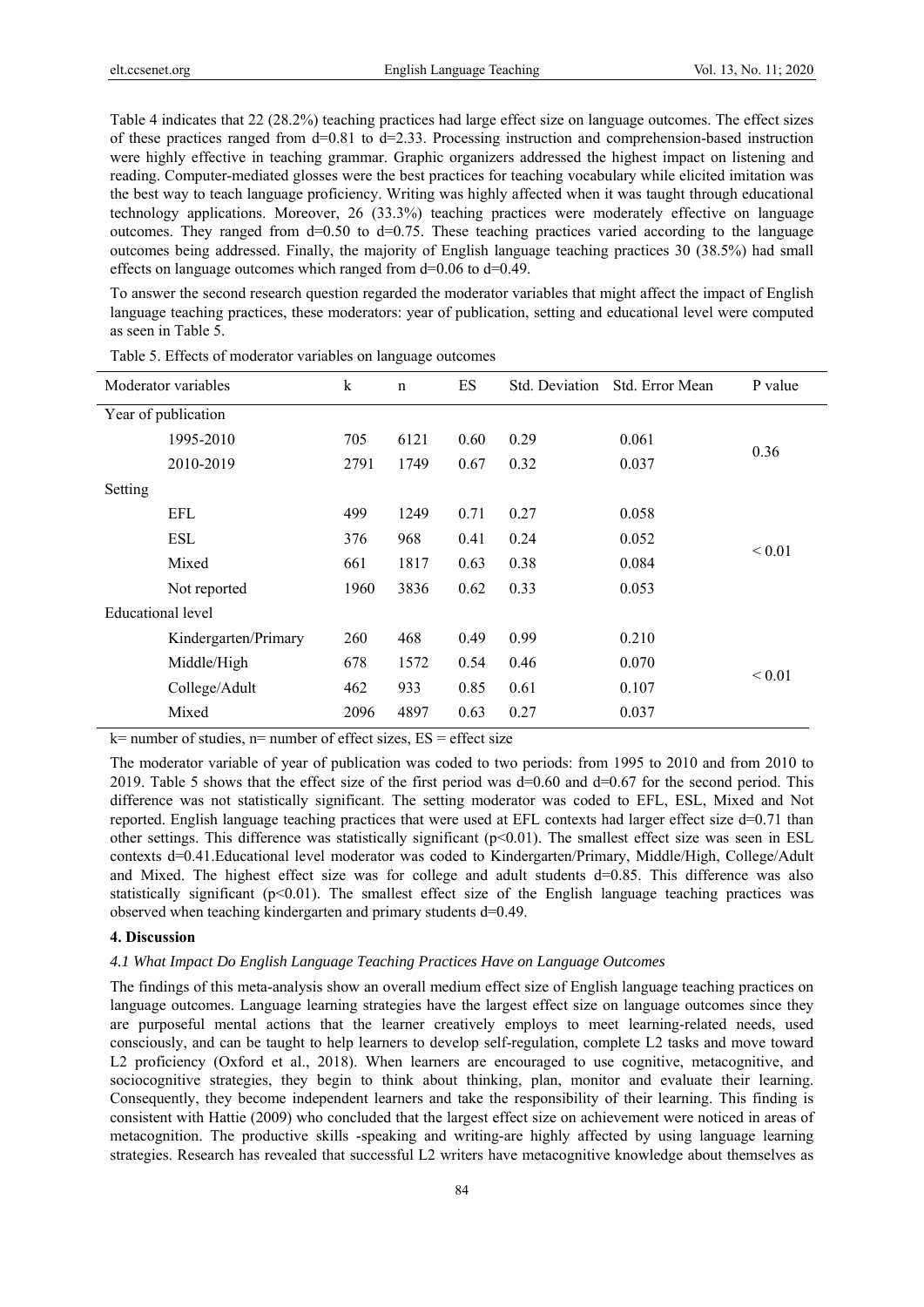Table 4 indicates that 22 (28.2%) teaching practices had large effect size on language outcomes. The effect sizes of these practices ranged from  $d=0.81$  to  $d=2.33$ . Processing instruction and comprehension-based instruction were highly effective in teaching grammar. Graphic organizers addressed the highest impact on listening and reading. Computer-mediated glosses were the best practices for teaching vocabulary while elicited imitation was the best way to teach language proficiency. Writing was highly affected when it was taught through educational technology applications. Moreover, 26 (33.3%) teaching practices were moderately effective on language outcomes. They ranged from  $d=0.50$  to  $d=0.75$ . These teaching practices varied according to the language outcomes being addressed. Finally, the majority of English language teaching practices 30 (38.5%) had small effects on language outcomes which ranged from  $d=0.06$  to  $d=0.49$ .

To answer the second research question regarded the moderator variables that might affect the impact of English language teaching practices, these moderators: year of publication, setting and educational level were computed as seen in Table 5.

|                   | Moderator variables  | $\bf k$ | $\mathbf n$ | ES   | Std. Deviation | Std. Error Mean | P value                    |
|-------------------|----------------------|---------|-------------|------|----------------|-----------------|----------------------------|
|                   | Year of publication  |         |             |      |                |                 |                            |
|                   | 1995-2010            | 705     | 6121        | 0.60 | 0.29           | 0.061           | 0.36                       |
|                   | 2010-2019            | 2791    | 1749        | 0.67 | 0.32           | 0.037           |                            |
| Setting           |                      |         |             |      |                |                 |                            |
|                   | EFL                  | 499     | 1249        | 0.71 | 0.27           | 0.058           |                            |
|                   | ESL                  | 376     | 968         | 0.41 | 0.24           | 0.052           |                            |
|                   | Mixed                | 661     | 1817        | 0.63 | 0.38           | 0.084           |                            |
|                   | Not reported         | 1960    | 3836        | 0.62 | 0.33           | 0.053           |                            |
| Educational level |                      |         |             |      |                |                 |                            |
|                   | Kindergarten/Primary | 260     | 468         | 0.49 | 0.99           | 0.210           |                            |
|                   | Middle/High          | 678     | 1572        | 0.54 | 0.46           | 0.070           |                            |
|                   | College/Adult        | 462     | 933         | 0.85 | 0.61           | 0.107           |                            |
|                   | Mixed                | 2096    | 4897        | 0.63 | 0.27           | 0.037           |                            |
|                   |                      |         |             |      |                |                 | ${}_{0.01}$<br>${}_{0.01}$ |

Table 5. Effects of moderator variables on language outcomes

 $k=$  number of studies, n= number of effect sizes,  $ES =$  effect size

The moderator variable of year of publication was coded to two periods: from 1995 to 2010 and from 2010 to 2019. Table 5 shows that the effect size of the first period was  $d=0.60$  and  $d=0.67$  for the second period. This difference was not statistically significant. The setting moderator was coded to EFL, ESL, Mixed and Not reported. English language teaching practices that were used at EFL contexts had larger effect size d=0.71 than other settings. This difference was statistically significant (p<0.01). The smallest effect size was seen in ESL contexts d=0.41. Educational level moderator was coded to Kindergarten/Primary, Middle/High, College/Adult and Mixed. The highest effect size was for college and adult students d=0.85. This difference was also statistically significant  $(p<0.01)$ . The smallest effect size of the English language teaching practices was observed when teaching kindergarten and primary students d=0.49.

## **4. Discussion**

### *4.1 What Impact Do English Language Teaching Practices Have on Language Outcomes*

The findings of this meta-analysis show an overall medium effect size of English language teaching practices on language outcomes. Language learning strategies have the largest effect size on language outcomes since they are purposeful mental actions that the learner creatively employs to meet learning-related needs, used consciously, and can be taught to help learners to develop self-regulation, complete L2 tasks and move toward L2 proficiency (Oxford et al., 2018). When learners are encouraged to use cognitive, metacognitive, and sociocognitive strategies, they begin to think about thinking, plan, monitor and evaluate their learning. Consequently, they become independent learners and take the responsibility of their learning. This finding is consistent with Hattie (2009) who concluded that the largest effect size on achievement were noticed in areas of metacognition. The productive skills -speaking and writing-are highly affected by using language learning strategies. Research has revealed that successful L2 writers have metacognitive knowledge about themselves as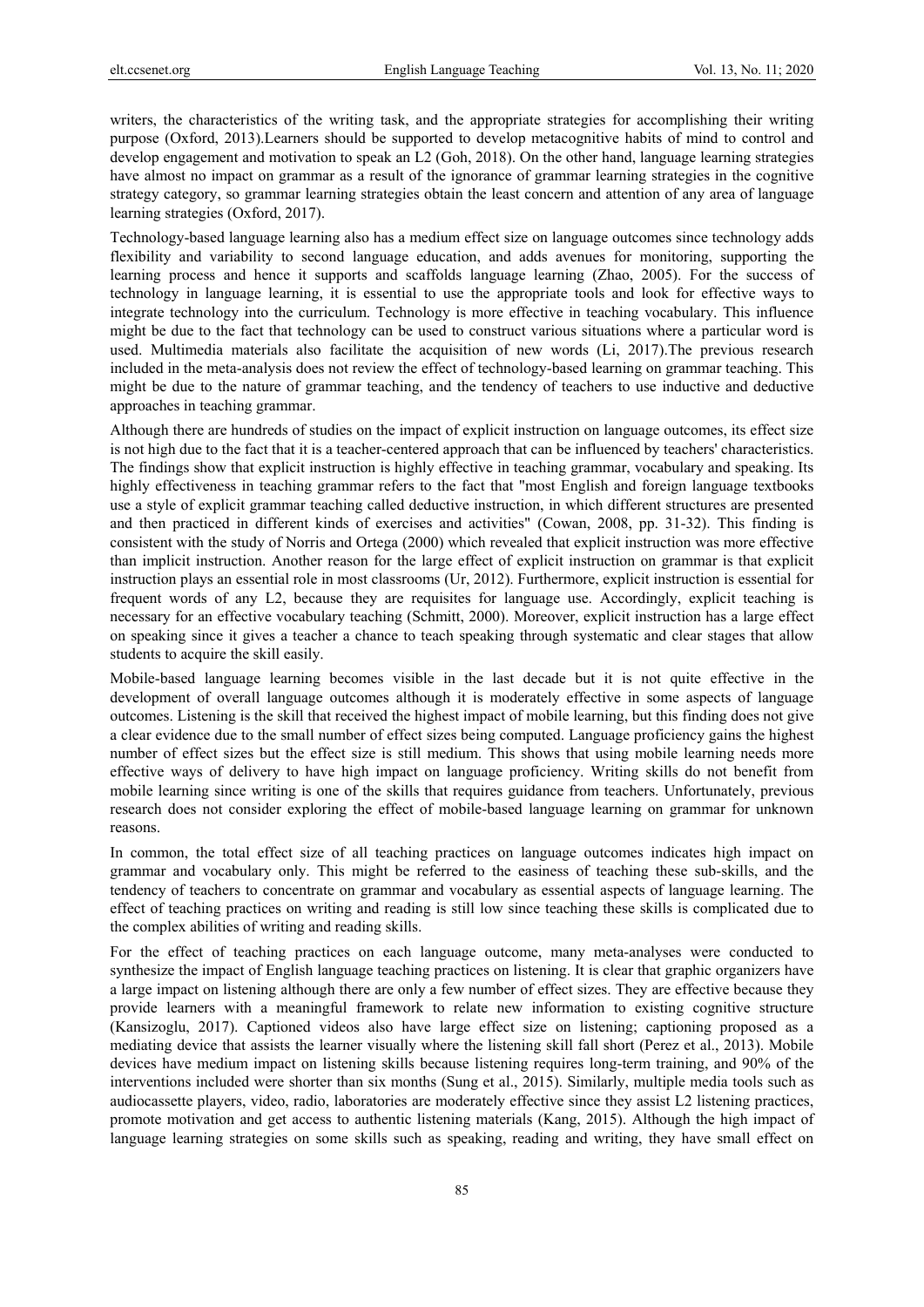writers, the characteristics of the writing task, and the appropriate strategies for accomplishing their writing purpose (Oxford, 2013).Learners should be supported to develop metacognitive habits of mind to control and develop engagement and motivation to speak an L2 (Goh, 2018). On the other hand, language learning strategies have almost no impact on grammar as a result of the ignorance of grammar learning strategies in the cognitive strategy category, so grammar learning strategies obtain the least concern and attention of any area of language learning strategies (Oxford, 2017).

Technology-based language learning also has a medium effect size on language outcomes since technology adds flexibility and variability to second language education, and adds avenues for monitoring, supporting the learning process and hence it supports and scaffolds language learning (Zhao, 2005). For the success of technology in language learning, it is essential to use the appropriate tools and look for effective ways to integrate technology into the curriculum. Technology is more effective in teaching vocabulary. This influence might be due to the fact that technology can be used to construct various situations where a particular word is used. Multimedia materials also facilitate the acquisition of new words (Li, 2017).The previous research included in the meta-analysis does not review the effect of technology-based learning on grammar teaching. This might be due to the nature of grammar teaching, and the tendency of teachers to use inductive and deductive approaches in teaching grammar.

Although there are hundreds of studies on the impact of explicit instruction on language outcomes, its effect size is not high due to the fact that it is a teacher-centered approach that can be influenced by teachers' characteristics. The findings show that explicit instruction is highly effective in teaching grammar, vocabulary and speaking. Its highly effectiveness in teaching grammar refers to the fact that "most English and foreign language textbooks use a style of explicit grammar teaching called deductive instruction, in which different structures are presented and then practiced in different kinds of exercises and activities" (Cowan, 2008, pp. 31-32). This finding is consistent with the study of Norris and Ortega (2000) which revealed that explicit instruction was more effective than implicit instruction. Another reason for the large effect of explicit instruction on grammar is that explicit instruction plays an essential role in most classrooms (Ur, 2012). Furthermore, explicit instruction is essential for frequent words of any L2, because they are requisites for language use. Accordingly, explicit teaching is necessary for an effective vocabulary teaching (Schmitt, 2000). Moreover, explicit instruction has a large effect on speaking since it gives a teacher a chance to teach speaking through systematic and clear stages that allow students to acquire the skill easily.

Mobile-based language learning becomes visible in the last decade but it is not quite effective in the development of overall language outcomes although it is moderately effective in some aspects of language outcomes. Listening is the skill that received the highest impact of mobile learning, but this finding does not give a clear evidence due to the small number of effect sizes being computed. Language proficiency gains the highest number of effect sizes but the effect size is still medium. This shows that using mobile learning needs more effective ways of delivery to have high impact on language proficiency. Writing skills do not benefit from mobile learning since writing is one of the skills that requires guidance from teachers. Unfortunately, previous research does not consider exploring the effect of mobile-based language learning on grammar for unknown reasons.

In common, the total effect size of all teaching practices on language outcomes indicates high impact on grammar and vocabulary only. This might be referred to the easiness of teaching these sub-skills, and the tendency of teachers to concentrate on grammar and vocabulary as essential aspects of language learning. The effect of teaching practices on writing and reading is still low since teaching these skills is complicated due to the complex abilities of writing and reading skills.

For the effect of teaching practices on each language outcome, many meta-analyses were conducted to synthesize the impact of English language teaching practices on listening. It is clear that graphic organizers have a large impact on listening although there are only a few number of effect sizes. They are effective because they provide learners with a meaningful framework to relate new information to existing cognitive structure (Kansizoglu, 2017). Captioned videos also have large effect size on listening; captioning proposed as a mediating device that assists the learner visually where the listening skill fall short (Perez et al., 2013). Mobile devices have medium impact on listening skills because listening requires long-term training, and 90% of the interventions included were shorter than six months (Sung et al., 2015). Similarly, multiple media tools such as audiocassette players, video, radio, laboratories are moderately effective since they assist L2 listening practices, promote motivation and get access to authentic listening materials (Kang, 2015). Although the high impact of language learning strategies on some skills such as speaking, reading and writing, they have small effect on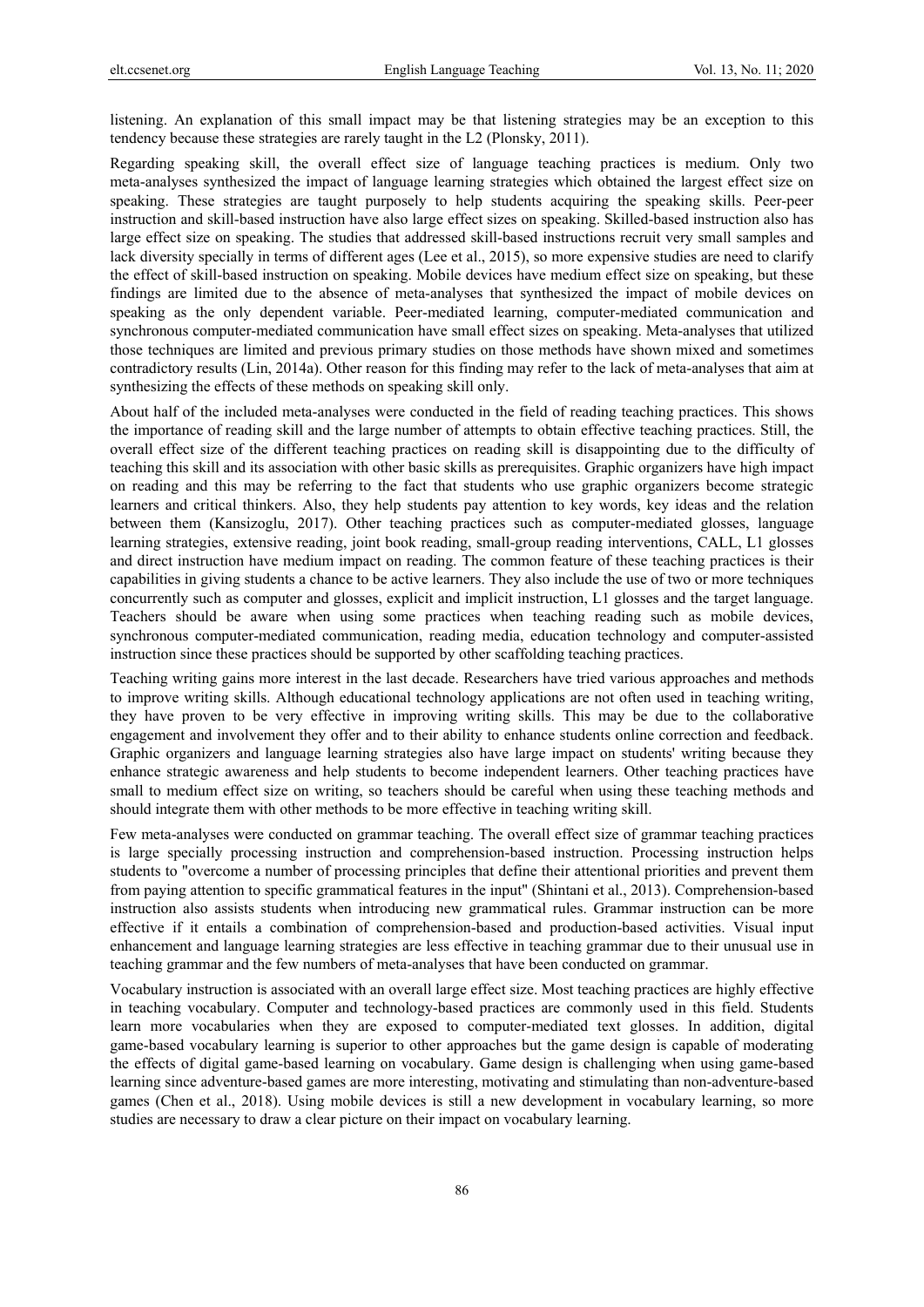listening. An explanation of this small impact may be that listening strategies may be an exception to this tendency because these strategies are rarely taught in the L2 (Plonsky, 2011).

Regarding speaking skill, the overall effect size of language teaching practices is medium. Only two meta-analyses synthesized the impact of language learning strategies which obtained the largest effect size on speaking. These strategies are taught purposely to help students acquiring the speaking skills. Peer-peer instruction and skill-based instruction have also large effect sizes on speaking. Skilled-based instruction also has large effect size on speaking. The studies that addressed skill-based instructions recruit very small samples and lack diversity specially in terms of different ages (Lee et al., 2015), so more expensive studies are need to clarify the effect of skill-based instruction on speaking. Mobile devices have medium effect size on speaking, but these findings are limited due to the absence of meta-analyses that synthesized the impact of mobile devices on speaking as the only dependent variable. Peer-mediated learning, computer-mediated communication and synchronous computer-mediated communication have small effect sizes on speaking. Meta-analyses that utilized those techniques are limited and previous primary studies on those methods have shown mixed and sometimes contradictory results (Lin, 2014a). Other reason for this finding may refer to the lack of meta-analyses that aim at synthesizing the effects of these methods on speaking skill only.

About half of the included meta-analyses were conducted in the field of reading teaching practices. This shows the importance of reading skill and the large number of attempts to obtain effective teaching practices. Still, the overall effect size of the different teaching practices on reading skill is disappointing due to the difficulty of teaching this skill and its association with other basic skills as prerequisites. Graphic organizers have high impact on reading and this may be referring to the fact that students who use graphic organizers become strategic learners and critical thinkers. Also, they help students pay attention to key words, key ideas and the relation between them (Kansizoglu, 2017). Other teaching practices such as computer-mediated glosses, language learning strategies, extensive reading, joint book reading, small-group reading interventions, CALL, L1 glosses and direct instruction have medium impact on reading. The common feature of these teaching practices is their capabilities in giving students a chance to be active learners. They also include the use of two or more techniques concurrently such as computer and glosses, explicit and implicit instruction, L1 glosses and the target language. Teachers should be aware when using some practices when teaching reading such as mobile devices, synchronous computer-mediated communication, reading media, education technology and computer-assisted instruction since these practices should be supported by other scaffolding teaching practices.

Teaching writing gains more interest in the last decade. Researchers have tried various approaches and methods to improve writing skills. Although educational technology applications are not often used in teaching writing, they have proven to be very effective in improving writing skills. This may be due to the collaborative engagement and involvement they offer and to their ability to enhance students online correction and feedback. Graphic organizers and language learning strategies also have large impact on students' writing because they enhance strategic awareness and help students to become independent learners. Other teaching practices have small to medium effect size on writing, so teachers should be careful when using these teaching methods and should integrate them with other methods to be more effective in teaching writing skill.

Few meta-analyses were conducted on grammar teaching. The overall effect size of grammar teaching practices is large specially processing instruction and comprehension-based instruction. Processing instruction helps students to "overcome a number of processing principles that define their attentional priorities and prevent them from paying attention to specific grammatical features in the input" (Shintani et al., 2013). Comprehension-based instruction also assists students when introducing new grammatical rules. Grammar instruction can be more effective if it entails a combination of comprehension-based and production-based activities. Visual input enhancement and language learning strategies are less effective in teaching grammar due to their unusual use in teaching grammar and the few numbers of meta-analyses that have been conducted on grammar.

Vocabulary instruction is associated with an overall large effect size. Most teaching practices are highly effective in teaching vocabulary. Computer and technology-based practices are commonly used in this field. Students learn more vocabularies when they are exposed to computer-mediated text glosses. In addition, digital game-based vocabulary learning is superior to other approaches but the game design is capable of moderating the effects of digital game-based learning on vocabulary. Game design is challenging when using game-based learning since adventure-based games are more interesting, motivating and stimulating than non-adventure-based games (Chen et al., 2018). Using mobile devices is still a new development in vocabulary learning, so more studies are necessary to draw a clear picture on their impact on vocabulary learning.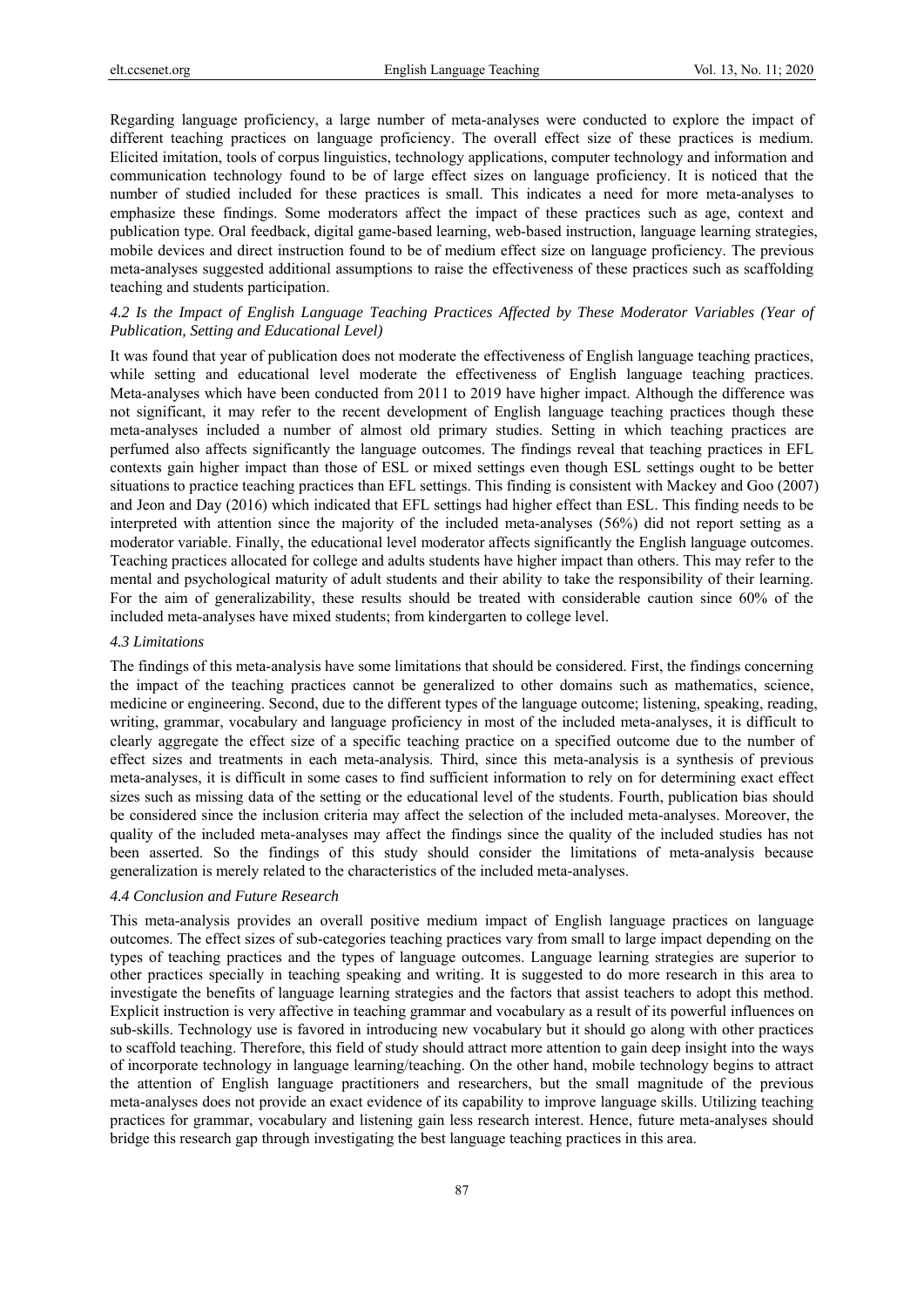Regarding language proficiency, a large number of meta-analyses were conducted to explore the impact of different teaching practices on language proficiency. The overall effect size of these practices is medium. Elicited imitation, tools of corpus linguistics, technology applications, computer technology and information and communication technology found to be of large effect sizes on language proficiency. It is noticed that the number of studied included for these practices is small. This indicates a need for more meta-analyses to emphasize these findings. Some moderators affect the impact of these practices such as age, context and publication type. Oral feedback, digital game-based learning, web-based instruction, language learning strategies, mobile devices and direct instruction found to be of medium effect size on language proficiency. The previous meta-analyses suggested additional assumptions to raise the effectiveness of these practices such as scaffolding teaching and students participation.

# *4.2 Is the Impact of English Language Teaching Practices Affected by These Moderator Variables (Year of Publication, Setting and Educational Level)*

It was found that year of publication does not moderate the effectiveness of English language teaching practices, while setting and educational level moderate the effectiveness of English language teaching practices. Meta-analyses which have been conducted from 2011 to 2019 have higher impact. Although the difference was not significant, it may refer to the recent development of English language teaching practices though these meta-analyses included a number of almost old primary studies. Setting in which teaching practices are perfumed also affects significantly the language outcomes. The findings reveal that teaching practices in EFL contexts gain higher impact than those of ESL or mixed settings even though ESL settings ought to be better situations to practice teaching practices than EFL settings. This finding is consistent with Mackey and Goo (2007) and Jeon and Day (2016) which indicated that EFL settings had higher effect than ESL. This finding needs to be interpreted with attention since the majority of the included meta-analyses (56%) did not report setting as a moderator variable. Finally, the educational level moderator affects significantly the English language outcomes. Teaching practices allocated for college and adults students have higher impact than others. This may refer to the mental and psychological maturity of adult students and their ability to take the responsibility of their learning. For the aim of generalizability, these results should be treated with considerable caution since 60% of the included meta-analyses have mixed students; from kindergarten to college level.

#### *4.3 Limitations*

The findings of this meta-analysis have some limitations that should be considered. First, the findings concerning the impact of the teaching practices cannot be generalized to other domains such as mathematics, science, medicine or engineering. Second, due to the different types of the language outcome; listening, speaking, reading, writing, grammar, vocabulary and language proficiency in most of the included meta-analyses, it is difficult to clearly aggregate the effect size of a specific teaching practice on a specified outcome due to the number of effect sizes and treatments in each meta-analysis. Third, since this meta-analysis is a synthesis of previous meta-analyses, it is difficult in some cases to find sufficient information to rely on for determining exact effect sizes such as missing data of the setting or the educational level of the students. Fourth, publication bias should be considered since the inclusion criteria may affect the selection of the included meta-analyses. Moreover, the quality of the included meta-analyses may affect the findings since the quality of the included studies has not been asserted. So the findings of this study should consider the limitations of meta-analysis because generalization is merely related to the characteristics of the included meta-analyses.

#### *4.4 Conclusion and Future Research*

This meta-analysis provides an overall positive medium impact of English language practices on language outcomes. The effect sizes of sub-categories teaching practices vary from small to large impact depending on the types of teaching practices and the types of language outcomes. Language learning strategies are superior to other practices specially in teaching speaking and writing. It is suggested to do more research in this area to investigate the benefits of language learning strategies and the factors that assist teachers to adopt this method. Explicit instruction is very affective in teaching grammar and vocabulary as a result of its powerful influences on sub-skills. Technology use is favored in introducing new vocabulary but it should go along with other practices to scaffold teaching. Therefore, this field of study should attract more attention to gain deep insight into the ways of incorporate technology in language learning/teaching. On the other hand, mobile technology begins to attract the attention of English language practitioners and researchers, but the small magnitude of the previous meta-analyses does not provide an exact evidence of its capability to improve language skills. Utilizing teaching practices for grammar, vocabulary and listening gain less research interest. Hence, future meta-analyses should bridge this research gap through investigating the best language teaching practices in this area.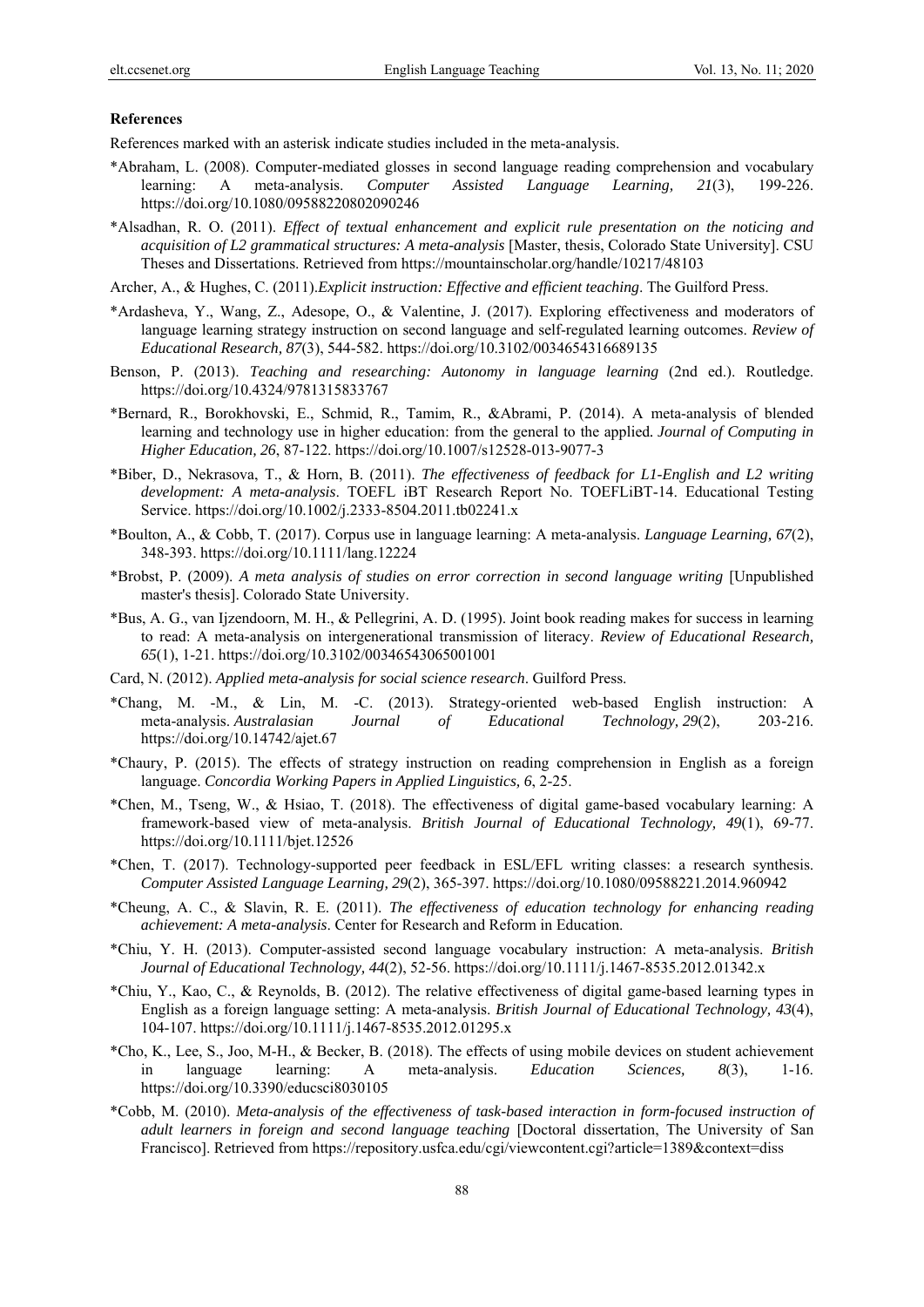#### **References**

References marked with an asterisk indicate studies included in the meta-analysis.

- \*Abraham, L. (2008). Computer-mediated glosses in second language reading comprehension and vocabulary learning: A meta-analysis. *Computer Assisted Language Learning, 21*(3), 199-226. https://doi.org/10.1080/09588220802090246
- \*Alsadhan, R. O. (2011). *Effect of textual enhancement and explicit rule presentation on the noticing and acquisition of L2 grammatical structures: A meta-analysis* [Master, thesis, Colorado State University]. CSU Theses and Dissertations. Retrieved from https://mountainscholar.org/handle/10217/48103
- Archer, A., & Hughes, C. (2011).*Explicit instruction: Effective and efficient teaching*. The Guilford Press.
- \*Ardasheva, Y., Wang, Z., Adesope, O., & Valentine, J. (2017). Exploring effectiveness and moderators of language learning strategy instruction on second language and self-regulated learning outcomes. *Review of Educational Research, 87*(3), 544-582. https://doi.org/10.3102/0034654316689135
- Benson, P. (2013). *Teaching and researching: Autonomy in language learning* (2nd ed.). Routledge. https://doi.org/10.4324/9781315833767
- \*Bernard, R., Borokhovski, E., Schmid, R., Tamim, R., &Abrami, P. (2014). A meta-analysis of blended learning and technology use in higher education: from the general to the applied*. Journal of Computing in Higher Education, 26*, 87-122. https://doi.org/10.1007/s12528-013-9077-3
- \*Biber, D., Nekrasova, T., & Horn, B. (2011). *The effectiveness of feedback for L1-English and L2 writing development: A meta-analysis*. TOEFL iBT Research Report No. TOEFLiBT-14. Educational Testing Service. https://doi.org/10.1002/j.2333-8504.2011.tb02241.x
- \*Boulton, A., & Cobb, T. (2017). Corpus use in language learning: A meta-analysis. *Language Learning, 67*(2), 348-393. https://doi.org/10.1111/lang.12224
- \*Brobst, P. (2009). *A meta analysis of studies on error correction in second language writing* [Unpublished master's thesis]. Colorado State University.
- \*Bus, A. G., van Ijzendoorn, M. H., & Pellegrini, A. D. (1995). Joint book reading makes for success in learning to read: A meta-analysis on intergenerational transmission of literacy. *Review of Educational Research, 65*(1), 1-21. https://doi.org/10.3102/00346543065001001
- Card, N. (2012). *Applied meta-analysis for social science research*. Guilford Press.
- \*Chang, M. -M., & Lin, M. -C. (2013). Strategy-oriented web-based English instruction: A meta-analysis. *Australasian Journal of Educational Technology, 29*(2), 203-216. https://doi.org/10.14742/ajet.67
- \*Chaury, P. (2015). The effects of strategy instruction on reading comprehension in English as a foreign language. *Concordia Working Papers in Applied Linguistics, 6*, 2-25.
- \*Chen, M., Tseng, W., & Hsiao, T. (2018). The effectiveness of digital game‐based vocabulary learning: A framework‐based view of meta‐analysis. *British Journal of Educational Technology, 49*(1), 69-77. https://doi.org/10.1111/bjet.12526
- \*Chen, T. (2017). Technology-supported peer feedback in ESL/EFL writing classes: a research synthesis. *Computer Assisted Language Learning, 29*(2), 365-397. https://doi.org/10.1080/09588221.2014.960942
- \*Cheung, A. C., & Slavin, R. E. (2011). *The effectiveness of education technology for enhancing reading achievement: A meta-analysis*. Center for Research and Reform in Education.
- \*Chiu, Y. H. (2013). Computer-assisted second language vocabulary instruction: A meta-analysis. *British Journal of Educational Technology, 44*(2), 52-56. https://doi.org/10.1111/j.1467-8535.2012.01342.x
- \*Chiu, Y., Kao, C., & Reynolds, B. (2012). The relative effectiveness of digital game‐based learning types in English as a foreign language setting: A meta-analysis. *British Journal of Educational Technology, 43(4)*, 104-107. https://doi.org/10.1111/j.1467-8535.2012.01295.x
- \*Cho, K., Lee, S., Joo, M-H., & Becker, B. (2018). The effects of using mobile devices on student achievement in language learning: A meta-analysis. *Education Sciences, 8*(3), 1-16. https://doi.org/10.3390/educsci8030105
- \*Cobb, M. (2010). *Meta-analysis of the effectiveness of task-based interaction in form-focused instruction of adult learners in foreign and second language teaching* [Doctoral dissertation, The University of San Francisco]. Retrieved from https://repository.usfca.edu/cgi/viewcontent.cgi?article=1389&context=diss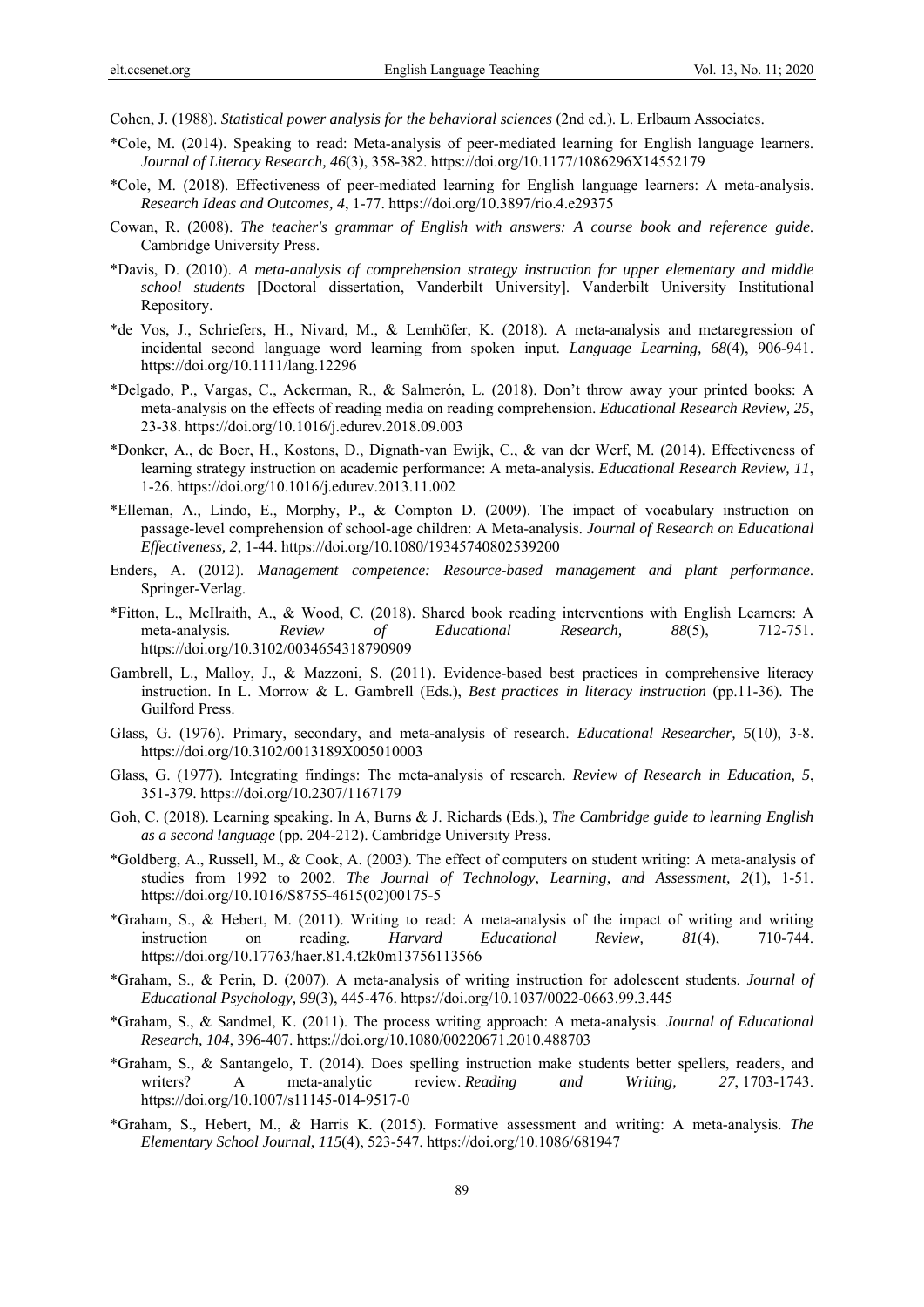Cohen, J. (1988). *Statistical power analysis for the behavioral sciences* (2nd ed.). L. Erlbaum Associates.

- \*Cole, M. (2014). Speaking to read: Meta-analysis of peer-mediated learning for English language learners. *Journal of Literacy Research, 46*(3), 358-382. https://doi.org/10.1177/1086296X14552179
- \*Cole, M. (2018). Effectiveness of peer-mediated learning for English language learners: A meta-analysis. *Research Ideas and Outcomes, 4*, 1-77. https://doi.org/10.3897/rio.4.e29375
- Cowan, R. (2008). *The teacher's grammar of English with answers: A course book and reference guide*. Cambridge University Press.
- \*Davis, D. (2010). *A meta-analysis of comprehension strategy instruction for upper elementary and middle school students* [Doctoral dissertation, Vanderbilt University]. Vanderbilt University Institutional Repository.
- \*de Vos, J., Schriefers, H., Nivard, M., & Lemhöfer, K. (2018). A meta-analysis and metaregression of incidental second language word learning from spoken input. *Language Learning, 68*(4), 906-941. https://doi.org/10.1111/lang.12296
- \*Delgado, P., Vargas, C., Ackerman, R., & Salmerón, L. (2018). Don't throw away your printed books: A meta-analysis on the effects of reading media on reading comprehension. *Educational Research Review, 25*, 23-38. https://doi.org/10.1016/j.edurev.2018.09.003
- \*Donker, A., de Boer, H., Kostons, D., Dignath-van Ewijk, C., & van der Werf, M. (2014). Effectiveness of learning strategy instruction on academic performance: A meta-analysis. *Educational Research Review, 11*, 1-26. https://doi.org/10.1016/j.edurev.2013.11.002
- \*Elleman, A., Lindo, E., Morphy, P., & Compton D. (2009). The impact of vocabulary instruction on passage-level comprehension of school-age children: A Meta-analysis. *Journal of Research on Educational Effectiveness, 2*, 1-44. https://doi.org/10.1080/19345740802539200
- Enders, A. (2012). *Management competence: Resource-based management and plant performance*. Springer-Verlag.
- \*Fitton, L., McIlraith, A., & Wood, C. (2018). Shared book reading interventions with English Learners: A meta-analysis. *Review of Educational Research, 88*(5), 712-751. https://doi.org/10.3102/0034654318790909
- Gambrell, L., Malloy, J., & Mazzoni, S. (2011). Evidence-based best practices in comprehensive literacy instruction. In L. Morrow & L. Gambrell (Eds.), *Best practices in literacy instruction* (pp.11-36). The Guilford Press.
- Glass, G. (1976). Primary, secondary, and meta-analysis of research. *Educational Researcher, 5*(10), 3-8. https://doi.org/10.3102/0013189X005010003
- Glass, G. (1977). Integrating findings: The meta-analysis of research. *Review of Research in Education, 5*, 351-379. https://doi.org/10.2307/1167179
- Goh, C. (2018). Learning speaking. In A, Burns & J. Richards (Eds.), *The Cambridge guide to learning English as a second language* (pp. 204-212). Cambridge University Press.
- \*Goldberg, A., Russell, M., & Cook, A. (2003). The effect of computers on student writing: A meta-analysis of studies from 1992 to 2002. *The Journal of Technology, Learning, and Assessment, 2*(1), 1-51. https://doi.org/10.1016/S8755-4615(02)00175-5
- \*Graham, S., & Hebert, M. (2011). Writing to read: A meta-analysis of the impact of writing and writing instruction on reading. *Harvard Educational Review, 81*(4), 710-744. https://doi.org/10.17763/haer.81.4.t2k0m13756113566
- \*Graham, S., & Perin, D. (2007). A meta-analysis of writing instruction for adolescent students. *Journal of Educational Psychology, 99*(3), 445-476. https://doi.org/10.1037/0022-0663.99.3.445
- \*Graham, S., & Sandmel, K. (2011). The process writing approach: A meta-analysis. *Journal of Educational Research, 104*, 396-407. https://doi.org/10.1080/00220671.2010.488703
- \*Graham, S., & Santangelo, T. (2014). Does spelling instruction make students better spellers, readers, and writers? A meta-analytic review. *Reading and Writing, 27*, 1703-1743. https://doi.org/10.1007/s11145-014-9517-0
- \*Graham, S., Hebert, M., & Harris K. (2015). Formative assessment and writing: A meta-analysis. *The Elementary School Journal, 115*(4), 523-547. https://doi.org/10.1086/681947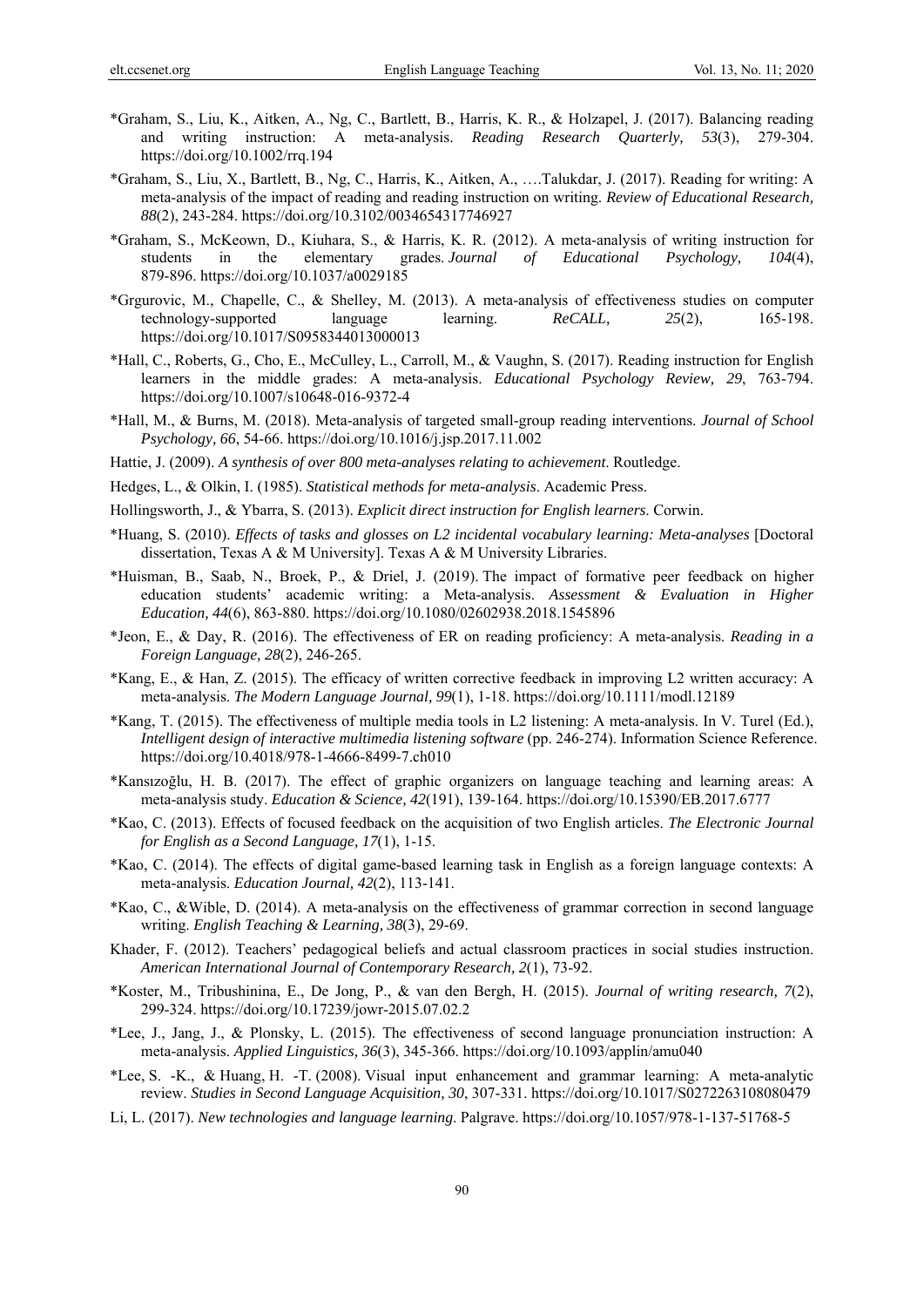- \*Graham, S., Liu, K., Aitken, A., Ng, C., Bartlett, B., Harris, K. R., & Holzapel, J. (2017). Balancing reading and writing instruction: A meta-analysis. *Reading Research Quarterly, 53*(3), 279-304. https://doi.org/10.1002/rrq.194
- \*Graham, S., Liu, X., Bartlett, B., Ng, C., Harris, K., Aitken, A., ….Talukdar, J. (2017). Reading for writing: A meta-analysis of the impact of reading and reading instruction on writing. *Review of Educational Research, 88*(2), 243-284. https://doi.org/10.3102/0034654317746927
- \*Graham, S., McKeown, D., Kiuhara, S., & Harris, K. R. (2012). A meta-analysis of writing instruction for students in the elementary grades. *Journal of Educational Psychology, 104*(4), 879-896. https://doi.org/10.1037/a0029185
- \*Grgurovic, M., Chapelle, C., & Shelley, M. (2013). A meta-analysis of effectiveness studies on computer technology-supported language learning. *ReCALL, 25*(2), 165-198. https://doi.org/10.1017/S0958344013000013
- \*Hall, C., Roberts, G., Cho, E., McCulley, L., Carroll, M., & Vaughn, S. (2017). Reading instruction for English learners in the middle grades: A meta-analysis. *Educational Psychology Review, 29*, 763-794. https://doi.org/10.1007/s10648-016-9372-4
- \*Hall, M., & Burns, M. (2018). Meta-analysis of targeted small-group reading interventions. *Journal of School Psychology, 66*, 54-66. https://doi.org/10.1016/j.jsp.2017.11.002
- Hattie, J. (2009). *A synthesis of over 800 meta-analyses relating to achievement*. Routledge.
- Hedges, L., & Olkin, I. (1985). *Statistical methods for meta-analysis*. Academic Press.
- Hollingsworth, J., & Ybarra, S. (2013). *Explicit direct instruction for English learners*. Corwin.
- \*Huang, S. (2010). *Effects of tasks and glosses on L2 incidental vocabulary learning: Meta-analyses* [Doctoral dissertation, Texas A & M University]. Texas A & M University Libraries.
- \*Huisman, B., Saab, N., Broek, P., & Driel, J. (2019). The impact of formative peer feedback on higher education students' academic writing: a Meta-analysis. *Assessment & Evaluation in Higher Education, 44*(6), 863-880. https://doi.org/10.1080/02602938.2018.1545896
- \*Jeon, E., & Day, R. (2016). The effectiveness of ER on reading proficiency: A meta-analysis. *Reading in a Foreign Language, 28*(2), 246-265.
- \*Kang, E., & Han, Z. (2015). The efficacy of written corrective feedback in improving L2 written accuracy: A meta-analysis. *The Modern Language Journal, 99*(1), 1-18. https://doi.org/10.1111/modl.12189
- \*Kang, T. (2015). The effectiveness of multiple media tools in L2 listening: A meta-analysis. In V. Turel (Ed.), *Intelligent design of interactive multimedia listening software* (pp. 246-274). Information Science Reference. https://doi.org/10.4018/978-1-4666-8499-7.ch010
- \*Kansızoğlu, H. B. (2017). The effect of graphic organizers on language teaching and learning areas: A meta-analysis study. *Education & Science, 42*(191), 139-164. https://doi.org/10.15390/EB.2017.6777
- \*Kao, C. (2013). Effects of focused feedback on the acquisition of two English articles. *The Electronic Journal for English as a Second Language, 17*(1), 1-15.
- \*Kao, C. (2014). The effects of digital game-based learning task in English as a foreign language contexts: A meta-analysis. *Education Journal, 42*(2), 113-141.
- \*Kao, C., &Wible, D. (2014). A meta-analysis on the effectiveness of grammar correction in second language writing. *English Teaching & Learning, 38*(3), 29-69.
- Khader, F. (2012). Teachers' pedagogical beliefs and actual classroom practices in social studies instruction. *American International Journal of Contemporary Research, 2*(1), 73-92.
- \*Koster, M., Tribushinina, E., De Jong, P., & van den Bergh, H. (2015). *Journal of writing research, 7*(2), 299-324. https://doi.org/10.17239/jowr-2015.07.02.2
- \*Lee, J., Jang, J., & Plonsky, L. (2015). The effectiveness of second language pronunciation instruction: A meta-analysis. *Applied Linguistics, 36*(3), 345-366. https://doi.org/10.1093/applin/amu040
- \*Lee, S. -K., & Huang, H. -T. (2008). Visual input enhancement and grammar learning: A meta-analytic review. *Studies in Second Language Acquisition, 30*, 307-331. https://doi.org/10.1017/S0272263108080479
- Li, L. (2017). *New technologies and language learning*. Palgrave. https://doi.org/10.1057/978-1-137-51768-5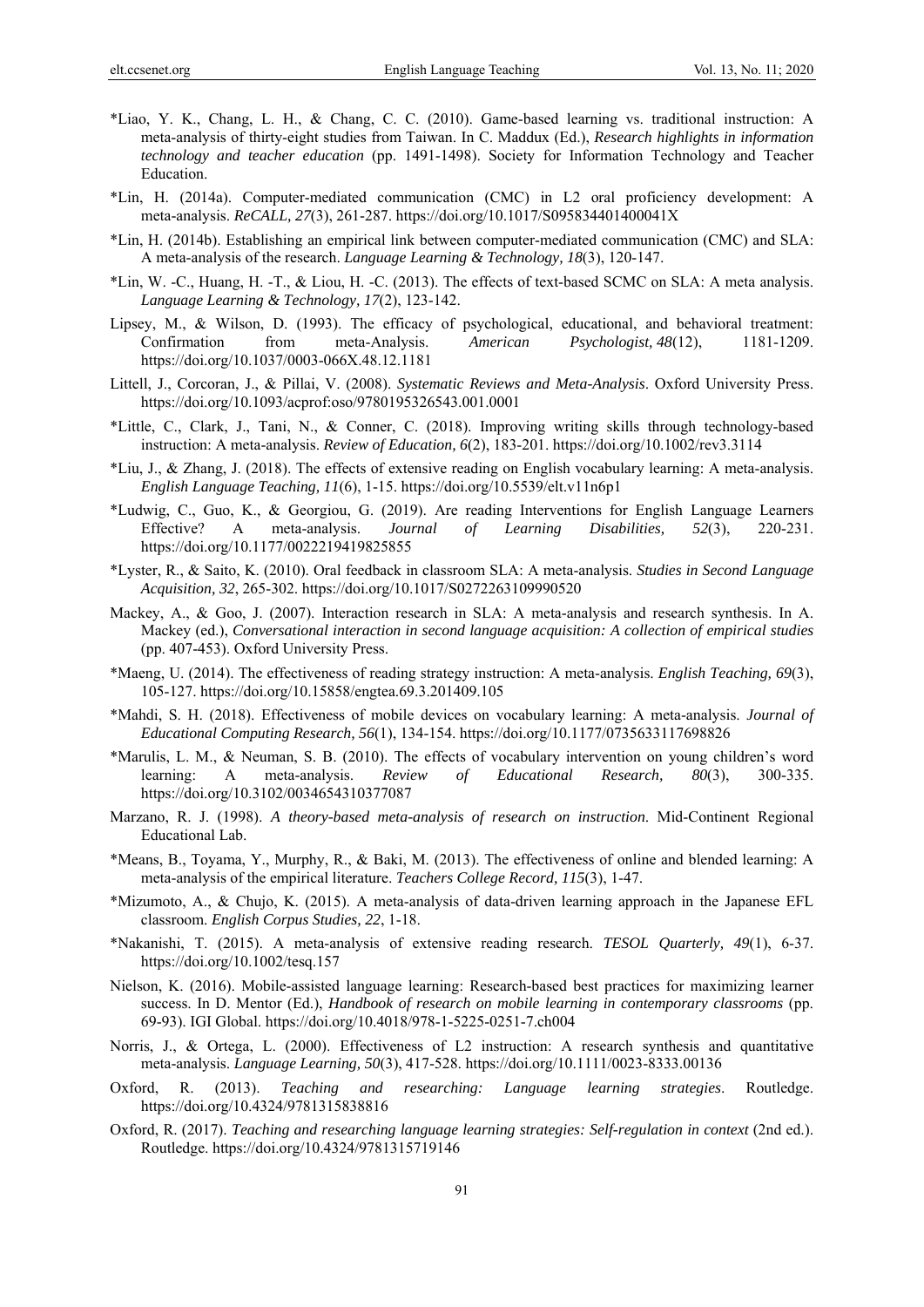- \*Liao, Y. K., Chang, L. H., & Chang, C. C. (2010). Game-based learning vs. traditional instruction: A meta-analysis of thirty-eight studies from Taiwan. In C. Maddux (Ed.), *Research highlights in information technology and teacher education* (pp. 1491-1498). Society for Information Technology and Teacher Education.
- \*Lin, H. (2014a). Computer-mediated communication (CMC) in L2 oral proficiency development: A meta-analysis. *ReCALL, 27*(3), 261-287. https://doi.org/10.1017/S095834401400041X
- \*Lin, H. (2014b). Establishing an empirical link between computer-mediated communication (CMC) and SLA: A meta-analysis of the research. *Language Learning & Technology, 18*(3), 120-147.
- \*Lin, W. -C., Huang, H. -T., & Liou, H. -C. (2013). The effects of text-based SCMC on SLA: A meta analysis. *Language Learning & Technology, 17*(2), 123-142.
- Lipsey, M., & Wilson, D. (1993). The efficacy of psychological, educational, and behavioral treatment: Confirmation from meta-Analysis. *American Psychologist, 48*(12), 1181-1209. https://doi.org/10.1037/0003-066X.48.12.1181
- Littell, J., Corcoran, J., & Pillai, V. (2008) . *Systematic Reviews and Meta-Analysis*. Oxford University Press. https://doi.org/10.1093/acprof:oso/9780195326543.001.0001
- \*Little, C., Clark, J., Tani, N., & Conner, C. (2018). Improving writing skills through technology-based instruction: A meta-analysis. *Review of Education, 6*(2), 183-201. https://doi.org/10.1002/rev3.3114
- \*Liu, J., & Zhang, J. (2018). The effects of extensive reading on English vocabulary learning: A meta-analysis. *English Language Teaching, 11*(6), 1-15. https://doi.org/10.5539/elt.v11n6p1
- \*Ludwig, C., Guo, K., & Georgiou, G. (2019). Are reading Interventions for English Language Learners Effective? A meta-analysis. *Journal of Learning Disabilities, 52*(3), 220-231. https://doi.org/10.1177/0022219419825855
- \*Lyster, R., & Saito, K. (2010). Oral feedback in classroom SLA: A meta-analysis. *Studies in Second Language Acquisition, 32*, 265-302. https://doi.org/10.1017/S0272263109990520
- Mackey, A., & Goo, J. (2007). Interaction research in SLA: A meta-analysis and research synthesis. In A. Mackey (ed.), *Conversational interaction in second language acquisition: A collection of empirical studies* (pp. 407-453). Oxford University Press.
- \*Maeng, U. (2014). The effectiveness of reading strategy instruction: A meta-analysis. *English Teaching, 69*(3), 105-127. https://doi.org/10.15858/engtea.69.3.201409.105
- \*Mahdi, S. H. (2018). Effectiveness of mobile devices on vocabulary learning: A meta-analysis. *Journal of Educational Computing Research, 56*(1), 134-154. https://doi.org/10.1177/0735633117698826
- \*Marulis, L. M., & Neuman, S. B. (2010). The effects of vocabulary intervention on young children's word learning: A meta-analysis. *Review of Educational Research, 80*(3), 300-335. https://doi.org/10.3102/0034654310377087
- Marzano, R. J. (1998). *A theory-based meta-analysis of research on instruction*. Mid-Continent Regional Educational Lab.
- \*Means, B., Toyama, Y., Murphy, R., & Baki, M. (2013). The effectiveness of online and blended learning: A meta-analysis of the empirical literature. *Teachers College Record, 115*(3), 1-47.
- \*Mizumoto, A., & Chujo, K. (2015). A meta-analysis of data-driven learning approach in the Japanese EFL classroom. *English Corpus Studies, 22*, 1-18.
- \*Nakanishi, T. (2015). A meta-analysis of extensive reading research. *TESOL Quarterly, 49*(1), 6-37. https://doi.org/10.1002/tesq.157
- Nielson, K. (2016). Mobile-assisted language learning: Research-based best practices for maximizing learner success. In D. Mentor (Ed.), *Handbook of research on mobile learning in contemporary classrooms* (pp. 69-93). IGI Global. https://doi.org/10.4018/978-1-5225-0251-7.ch004
- Norris, J., & Ortega, L. (2000). Effectiveness of L2 instruction: A research synthesis and quantitative meta-analysis. *Language Learning, 50*(3), 417-528. https://doi.org/10.1111/0023-8333.00136
- Oxford, R. (2013). *Teaching and researching: Language learning strategies*. Routledge. https://doi.org/10.4324/9781315838816
- Oxford, R. (2017). *Teaching and researching language learning strategies: Self-regulation in context* (2nd ed.). Routledge. https://doi.org/10.4324/9781315719146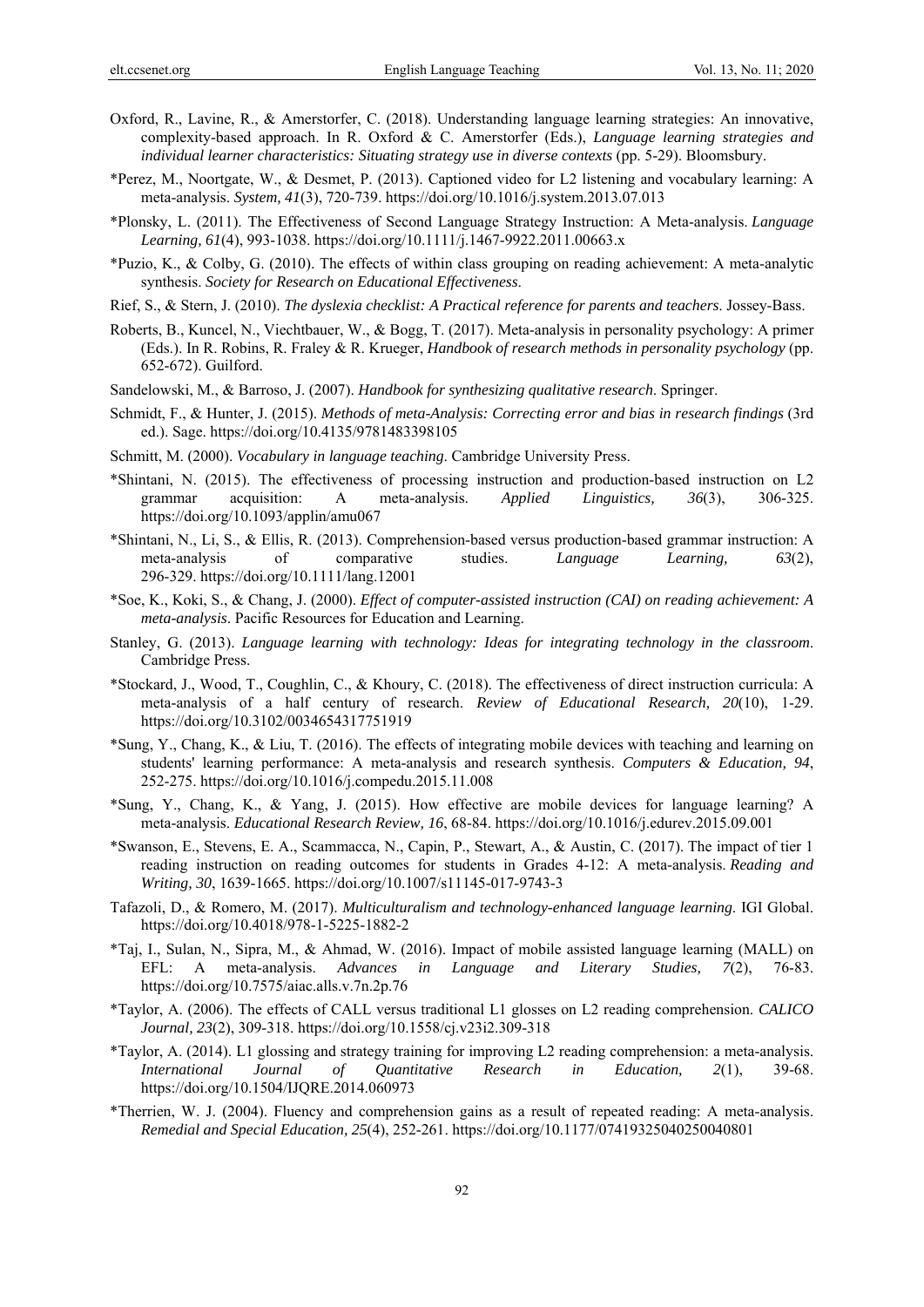- Oxford, R., Lavine, R., & Amerstorfer, C. (2018). Understanding language learning strategies: An innovative, complexity-based approach. In R. Oxford & C. Amerstorfer (Eds.), *Language learning strategies and individual learner characteristics: Situating strategy use in diverse contexts* (pp. 5-29). Bloomsbury.
- \*Perez, M., Noortgate, W., & Desmet, P. (2013). Captioned video for L2 listening and vocabulary learning: A meta-analysis. *System, 41*(3), 720-739. https://doi.org/10.1016/j.system.2013.07.013
- \*Plonsky, L. (2011). The Effectiveness of Second Language Strategy Instruction: A Meta‐analysis. *Language Learning, 61*(4), 993-1038. https://doi.org/10.1111/j.1467-9922.2011.00663.x
- \*Puzio, K., & Colby, G. (2010). The effects of within class grouping on reading achievement: A meta-analytic synthesis. *Society for Research on Educational Effectiveness*.
- Rief, S., & Stern, J. (2010). *The dyslexia checklist: A Practical reference for parents and teachers*. Jossey-Bass.
- Roberts, B., Kuncel, N., Viechtbauer, W., & Bogg, T. (2017). Meta-analysis in personality psychology: A primer (Eds.). In R. Robins, R. Fraley & R. Krueger, *Handbook of research methods in personality psychology* (pp. 652-672). Guilford.
- Sandelowski, M., & Barroso, J. (2007). *Handbook for synthesizing qualitative research*. Springer.
- Schmidt, F., & Hunter, J. (2015). *Methods of meta-Analysis: Correcting error and bias in research findings* (3rd ed.). Sage. https://doi.org/10.4135/9781483398105
- Schmitt, M. (2000). *Vocabulary in language teaching*. Cambridge University Press.
- \*Shintani, N. (2015). The effectiveness of processing instruction and production-based instruction on L2 grammar acquisition: A meta-analysis. *Applied Linguistics, 36*(3), 306-325. https://doi.org/10.1093/applin/amu067
- \*Shintani, N., Li, S., & Ellis, R. (2013). Comprehension-based versus production-based grammar instruction: A meta-analysis of comparative studies. *Language Learning, 63*(2), 296-329. https://doi.org/10.1111/lang.12001
- \*Soe, K., Koki, S., & Chang, J. (2000). *Effect of computer-assisted instruction (CAI) on reading achievement: A meta-analysis*. Pacific Resources for Education and Learning.
- Stanley, G. (2013). *Language learning with technology: Ideas for integrating technology in the classroom*. Cambridge Press.
- \*Stockard, J., Wood, T., Coughlin, C., & Khoury, C. (2018). The effectiveness of direct instruction curricula: A meta-analysis of a half century of research. *Review of Educational Research, 20*(10), 1-29. https://doi.org/10.3102/0034654317751919
- \*Sung, Y., Chang, K., & Liu, T. (2016). The effects of integrating mobile devices with teaching and learning on students' learning performance: A meta-analysis and research synthesis. *Computers & Education, 94*, 252-275. https://doi.org/10.1016/j.compedu.2015.11.008
- \*Sung, Y., Chang, K., & Yang, J. (2015). How effective are mobile devices for language learning? A meta-analysis. *Educational Research Review, 16*, 68-84. https://doi.org/10.1016/j.edurev.2015.09.001
- \*Swanson, E., Stevens, E. A., Scammacca, N., Capin, P., Stewart, A., & Austin, C. (2017). The impact of tier 1 reading instruction on reading outcomes for students in Grades 4-12: A meta-analysis. *Reading and Writing, 30*, 1639-1665. https://doi.org/10.1007/s11145-017-9743-3
- Tafazoli, D., & Romero, M. (2017). *Multiculturalism and technology-enhanced language learning*. IGI Global. https://doi.org/10.4018/978-1-5225-1882-2
- \*Taj, I., Sulan, N., Sipra, M., & Ahmad, W. (2016). Impact of mobile assisted language learning (MALL) on EFL: A meta-analysis. *Advances in Language and Literary Studies, 7*(2), 76-83. https://doi.org/10.7575/aiac.alls.v.7n.2p.76
- \*Taylor, A. (2006). The effects of CALL versus traditional L1 glosses on L2 reading comprehension. *CALICO Journal, 23*(2), 309-318. https://doi.org/10.1558/cj.v23i2.309-318
- \*Taylor, A. (2014). L1 glossing and strategy training for improving L2 reading comprehension: a meta-analysis. *International Journal of Quantitative Research in Education, 2*(1), 39-68. https://doi.org/10.1504/IJQRE.2014.060973
- \*Therrien, W. J. (2004). Fluency and comprehension gains as a result of repeated reading: A meta-analysis. *Remedial and Special Education, 25*(4), 252-261. https://doi.org/10.1177/07419325040250040801